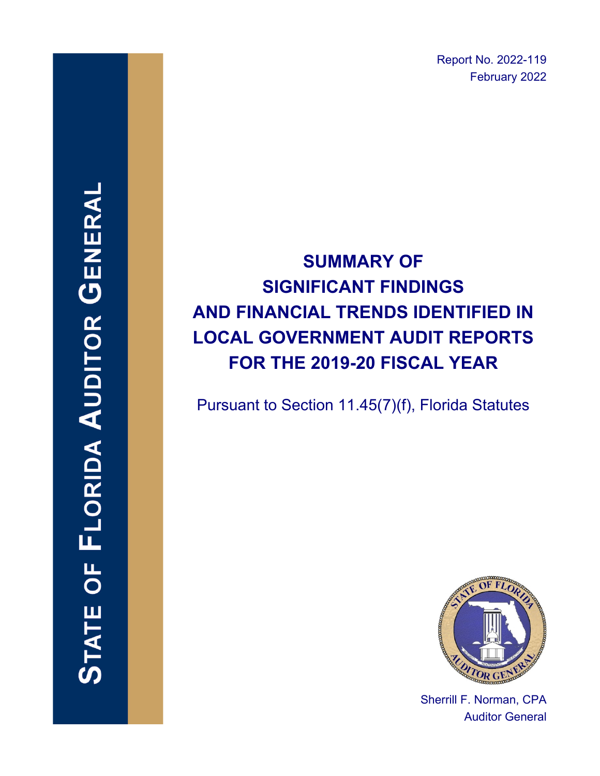Report No. 2022-119 February 2022

# **SUMMARY OF SIGNIFICANT FINDINGS AND FINANCIAL TRENDS IDENTIFIED IN LOCAL GOVERNMENT AUDIT REPORTS FOR THE 2019-20 FISCAL YEAR**

Pursuant to Section 11.45(7)(f), Florida Statutes



Sherrill F. Norman, CPA Auditor General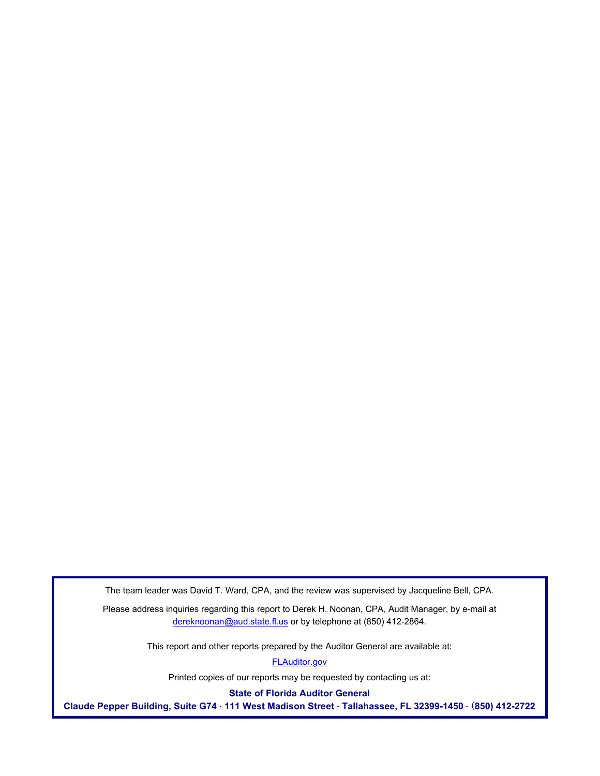The team leader was David T. Ward, CPA, and the review was supervised by Jacqueline Bell, CPA.

Please address inquiries regarding this report to Derek H. Noonan, CPA, Audit Manager, by e-mail at dereknoonan@aud.state.fl.us or by telephone at (850) 412-2864.

This report and other reports prepared by the Auditor General are available at:

[FLAuditor.gov](http://flauditor.gov/) 

Printed copies of our reports may be requested by contacting us at:

**State of Florida Auditor General** 

**Claude Pepper Building, Suite G74 · 111 West Madison Street · Tallahassee, FL 32399-1450 · (850) 412-2722**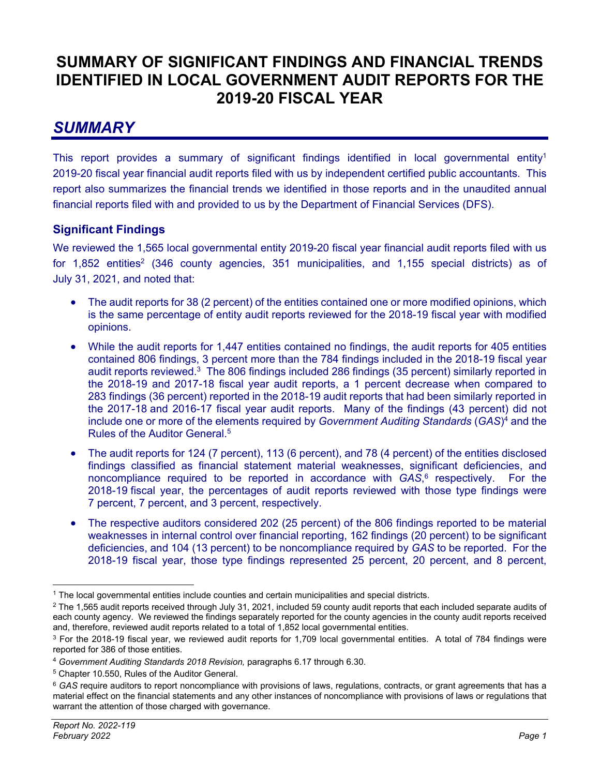### **SUMMARY OF SIGNIFICANT FINDINGS AND FINANCIAL TRENDS IDENTIFIED IN LOCAL GOVERNMENT AUDIT REPORTS FOR THE 2019-20 FISCAL YEAR**

### *SUMMARY*

This report provides a summary of significant findings identified in local governmental entity<sup>1</sup> 2019-20 fiscal year financial audit reports filed with us by independent certified public accountants. This report also summarizes the financial trends we identified in those reports and in the unaudited annual financial reports filed with and provided to us by the Department of Financial Services (DFS).

#### **Significant Findings**

We reviewed the 1,565 local governmental entity 2019-20 fiscal year financial audit reports filed with us for 1,852 entities<sup>2</sup> (346 county agencies, 351 municipalities, and 1,155 special districts) as of July 31, 2021, and noted that:

- The audit reports for 38 (2 percent) of the entities contained one or more modified opinions, which is the same percentage of entity audit reports reviewed for the 2018-19 fiscal year with modified opinions.
- While the audit reports for 1,447 entities contained no findings, the audit reports for 405 entities contained 806 findings, 3 percent more than the 784 findings included in the 2018-19 fiscal year audit reports reviewed.<sup>3</sup> The 806 findings included 286 findings (35 percent) similarly reported in the 2018-19 and 2017-18 fiscal year audit reports, a 1 percent decrease when compared to 283 findings (36 percent) reported in the 2018-19 audit reports that had been similarly reported in the 2017-18 and 2016-17 fiscal year audit reports. Many of the findings (43 percent) did not include one or more of the elements required by *Government Auditing Standards* (*GAS*)4 and the Rules of the Auditor General.5
- The audit reports for 124 (7 percent), 113 (6 percent), and 78 (4 percent) of the entities disclosed findings classified as financial statement material weaknesses, significant deficiencies, and noncompliance required to be reported in accordance with *GAS*, 6 respectively. For the 2018-19 fiscal year, the percentages of audit reports reviewed with those type findings were 7 percent, 7 percent, and 3 percent, respectively.
- The respective auditors considered 202 (25 percent) of the 806 findings reported to be material weaknesses in internal control over financial reporting, 162 findings (20 percent) to be significant deficiencies, and 104 (13 percent) to be noncompliance required by *GAS* to be reported. For the 2018-19 fiscal year, those type findings represented 25 percent, 20 percent, and 8 percent,

<sup>1</sup> The local governmental entities include counties and certain municipalities and special districts.

 $2$  The 1,565 audit reports received through July 31, 2021, included 59 county audit reports that each included separate audits of each county agency. We reviewed the findings separately reported for the county agencies in the county audit reports received and, therefore, reviewed audit reports related to a total of 1,852 local governmental entities.

<sup>&</sup>lt;sup>3</sup> For the 2018-19 fiscal year, we reviewed audit reports for 1,709 local governmental entities. A total of 784 findings were reported for 386 of those entities.

<sup>4</sup> *Government Auditing Standards 2018 Revision,* paragraphs 6.17 through 6.30.

<sup>5</sup> Chapter 10.550, Rules of the Auditor General.

<sup>6</sup> *GAS* require auditors to report noncompliance with provisions of laws, regulations, contracts, or grant agreements that has a material effect on the financial statements and any other instances of noncompliance with provisions of laws or regulations that warrant the attention of those charged with governance.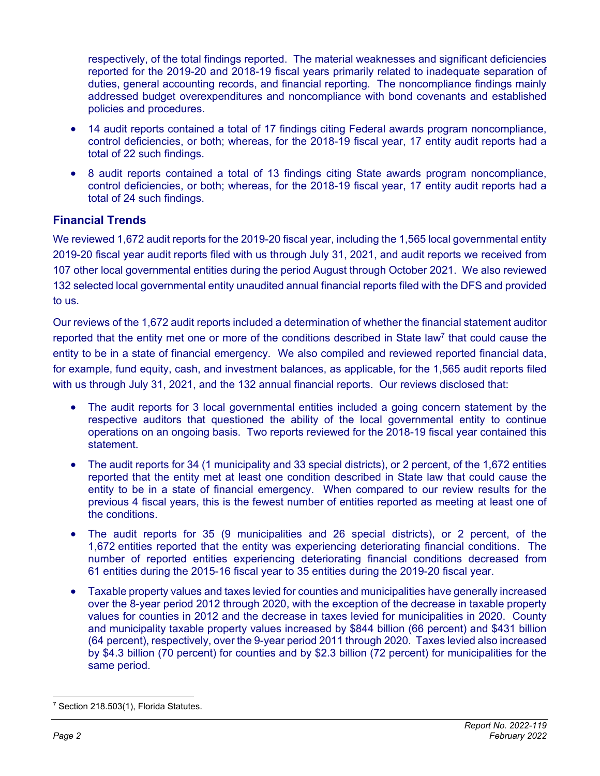respectively, of the total findings reported. The material weaknesses and significant deficiencies reported for the 2019-20 and 2018-19 fiscal years primarily related to inadequate separation of duties, general accounting records, and financial reporting. The noncompliance findings mainly addressed budget overexpenditures and noncompliance with bond covenants and established policies and procedures.

- 14 audit reports contained a total of 17 findings citing Federal awards program noncompliance, control deficiencies, or both; whereas, for the 2018-19 fiscal year, 17 entity audit reports had a total of 22 such findings.
- 8 audit reports contained a total of 13 findings citing State awards program noncompliance, control deficiencies, or both; whereas, for the 2018-19 fiscal year, 17 entity audit reports had a total of 24 such findings.

#### **Financial Trends**

We reviewed 1,672 audit reports for the 2019-20 fiscal year, including the 1,565 local governmental entity 2019-20 fiscal year audit reports filed with us through July 31, 2021, and audit reports we received from 107 other local governmental entities during the period August through October 2021. We also reviewed 132 selected local governmental entity unaudited annual financial reports filed with the DFS and provided to us.

Our reviews of the 1,672 audit reports included a determination of whether the financial statement auditor reported that the entity met one or more of the conditions described in State law<sup>7</sup> that could cause the entity to be in a state of financial emergency. We also compiled and reviewed reported financial data, for example, fund equity, cash, and investment balances, as applicable, for the 1,565 audit reports filed with us through July 31, 2021, and the 132 annual financial reports. Our reviews disclosed that:

- The audit reports for 3 local governmental entities included a going concern statement by the respective auditors that questioned the ability of the local governmental entity to continue operations on an ongoing basis. Two reports reviewed for the 2018-19 fiscal year contained this statement.
- The audit reports for 34 (1 municipality and 33 special districts), or 2 percent, of the 1,672 entities reported that the entity met at least one condition described in State law that could cause the entity to be in a state of financial emergency. When compared to our review results for the previous 4 fiscal years, this is the fewest number of entities reported as meeting at least one of the conditions.
- The audit reports for 35 (9 municipalities and 26 special districts), or 2 percent, of the 1,672 entities reported that the entity was experiencing deteriorating financial conditions. The number of reported entities experiencing deteriorating financial conditions decreased from 61 entities during the 2015-16 fiscal year to 35 entities during the 2019-20 fiscal year.
- Taxable property values and taxes levied for counties and municipalities have generally increased over the 8-year period 2012 through 2020, with the exception of the decrease in taxable property values for counties in 2012 and the decrease in taxes levied for municipalities in 2020. County and municipality taxable property values increased by \$844 billion (66 percent) and \$431 billion (64 percent), respectively, over the 9-year period 2011 through 2020. Taxes levied also increased by \$4.3 billion (70 percent) for counties and by \$2.3 billion (72 percent) for municipalities for the same period.

<sup>7</sup> Section 218.503(1), Florida Statutes.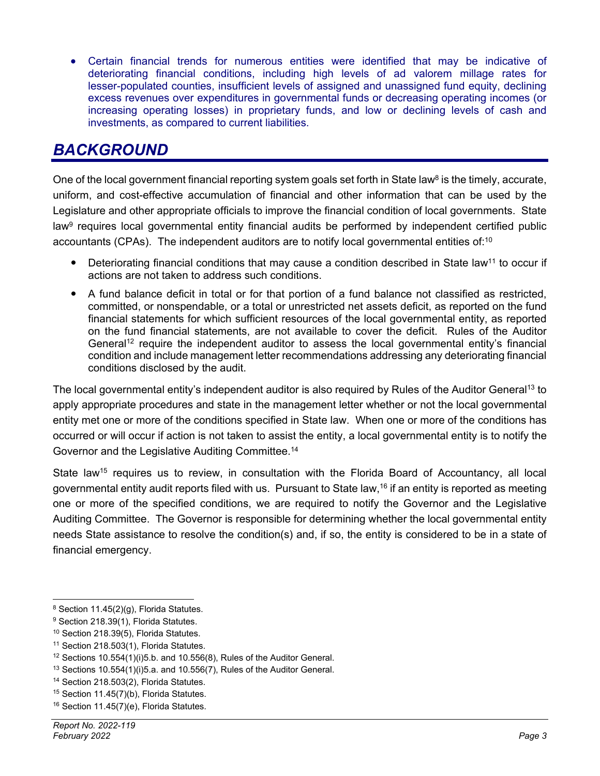Certain financial trends for numerous entities were identified that may be indicative of deteriorating financial conditions, including high levels of ad valorem millage rates for lesser-populated counties, insufficient levels of assigned and unassigned fund equity, declining excess revenues over expenditures in governmental funds or decreasing operating incomes (or increasing operating losses) in proprietary funds, and low or declining levels of cash and investments, as compared to current liabilities.

### *BACKGROUND*

One of the local government financial reporting system goals set forth in State law<sup>8</sup> is the timely, accurate, uniform, and cost-effective accumulation of financial and other information that can be used by the Legislature and other appropriate officials to improve the financial condition of local governments. State law<sup>9</sup> requires local governmental entity financial audits be performed by independent certified public accountants (CPAs). The independent auditors are to notify local governmental entities of:10

- $\bullet$  Deteriorating financial conditions that may cause a condition described in State law<sup>11</sup> to occur if actions are not taken to address such conditions.
- A fund balance deficit in total or for that portion of a fund balance not classified as restricted, committed, or nonspendable, or a total or unrestricted net assets deficit, as reported on the fund financial statements for which sufficient resources of the local governmental entity, as reported on the fund financial statements, are not available to cover the deficit. Rules of the Auditor General<sup>12</sup> require the independent auditor to assess the local governmental entity's financial condition and include management letter recommendations addressing any deteriorating financial conditions disclosed by the audit.

The local governmental entity's independent auditor is also required by Rules of the Auditor General<sup>13</sup> to apply appropriate procedures and state in the management letter whether or not the local governmental entity met one or more of the conditions specified in State law. When one or more of the conditions has occurred or will occur if action is not taken to assist the entity, a local governmental entity is to notify the Governor and the Legislative Auditing Committee.14

State law<sup>15</sup> requires us to review, in consultation with the Florida Board of Accountancy, all local governmental entity audit reports filed with us. Pursuant to State law,16 if an entity is reported as meeting one or more of the specified conditions, we are required to notify the Governor and the Legislative Auditing Committee. The Governor is responsible for determining whether the local governmental entity needs State assistance to resolve the condition(s) and, if so, the entity is considered to be in a state of financial emergency.

<sup>8</sup> Section 11.45(2)(g), Florida Statutes.

<sup>&</sup>lt;sup>9</sup> Section 218.39(1), Florida Statutes.

<sup>10</sup> Section 218.39(5), Florida Statutes.

<sup>&</sup>lt;sup>11</sup> Section 218.503(1), Florida Statutes.

 $12$  Sections 10.554(1)(i)5.b. and 10.556(8), Rules of the Auditor General.

<sup>13</sup> Sections 10.554(1)(i)5.a. and 10.556(7), Rules of the Auditor General.

<sup>14</sup> Section 218.503(2), Florida Statutes.

<sup>15</sup> Section 11.45(7)(b), Florida Statutes.

<sup>16</sup> Section 11.45(7)(e), Florida Statutes.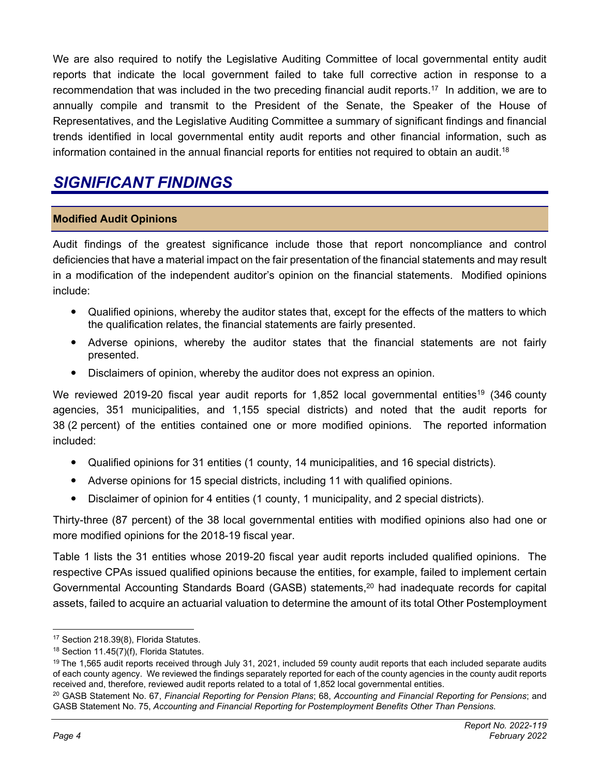We are also required to notify the Legislative Auditing Committee of local governmental entity audit reports that indicate the local government failed to take full corrective action in response to a recommendation that was included in the two preceding financial audit reports.17 In addition, we are to annually compile and transmit to the President of the Senate, the Speaker of the House of Representatives, and the Legislative Auditing Committee a summary of significant findings and financial trends identified in local governmental entity audit reports and other financial information, such as information contained in the annual financial reports for entities not required to obtain an audit.<sup>18</sup>

### *SIGNIFICANT FINDINGS*

#### **Modified Audit Opinions**

Audit findings of the greatest significance include those that report noncompliance and control deficiencies that have a material impact on the fair presentation of the financial statements and may result in a modification of the independent auditor's opinion on the financial statements. Modified opinions include:

- Qualified opinions, whereby the auditor states that, except for the effects of the matters to which the qualification relates, the financial statements are fairly presented.
- Adverse opinions, whereby the auditor states that the financial statements are not fairly presented.
- Disclaimers of opinion, whereby the auditor does not express an opinion.

We reviewed 2019-20 fiscal year audit reports for 1,852 local governmental entities<sup>19</sup> (346 county agencies, 351 municipalities, and 1,155 special districts) and noted that the audit reports for 38 (2 percent) of the entities contained one or more modified opinions. The reported information included:

- Qualified opinions for 31 entities (1 county, 14 municipalities, and 16 special districts).
- Adverse opinions for 15 special districts, including 11 with qualified opinions.
- Disclaimer of opinion for 4 entities (1 county, 1 municipality, and 2 special districts).

Thirty-three (87 percent) of the 38 local governmental entities with modified opinions also had one or more modified opinions for the 2018-19 fiscal year.

Table 1 lists the 31 entities whose 2019-20 fiscal year audit reports included qualified opinions. The respective CPAs issued qualified opinions because the entities, for example, failed to implement certain Governmental Accounting Standards Board (GASB) statements,<sup>20</sup> had inadequate records for capital assets, failed to acquire an actuarial valuation to determine the amount of its total Other Postemployment

<sup>17</sup> Section 218.39(8), Florida Statutes.

<sup>18</sup> Section 11.45(7)(f), Florida Statutes.

<sup>&</sup>lt;sup>19</sup> The 1,565 audit reports received through July 31, 2021, included 59 county audit reports that each included separate audits of each county agency. We reviewed the findings separately reported for each of the county agencies in the county audit reports received and, therefore, reviewed audit reports related to a total of 1,852 local governmental entities.

<sup>20</sup> GASB Statement No. 67, *Financial Reporting for Pension Plans*; 68, *Accounting and Financial Reporting for Pensions*; and GASB Statement No. 75, *Accounting and Financial Reporting for Postemployment Benefits Other Than Pensions*.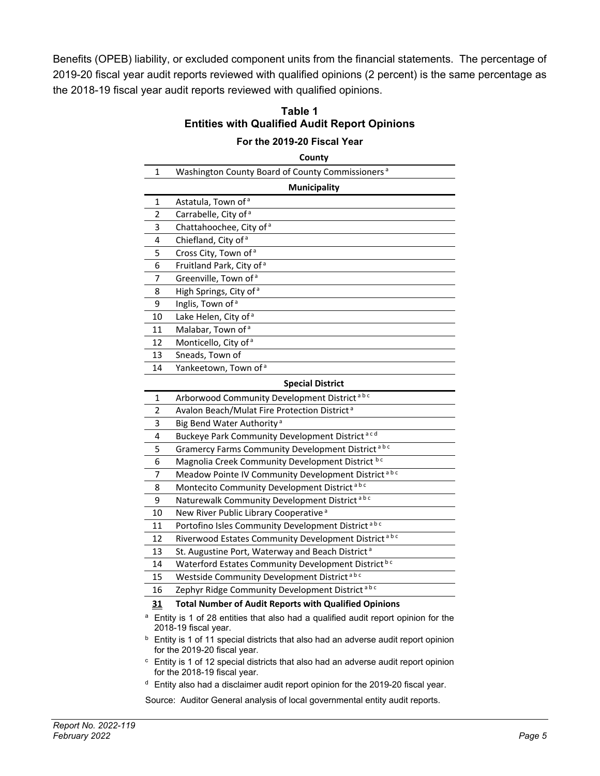Benefits (OPEB) liability, or excluded component units from the financial statements. The percentage of 2019-20 fiscal year audit reports reviewed with qualified opinions (2 percent) is the same percentage as the 2018-19 fiscal year audit reports reviewed with qualified opinions.

| Table 1                                              |
|------------------------------------------------------|
| <b>Entities with Qualified Audit Report Opinions</b> |

#### **For the 2019-20 Fiscal Year**

**County**

| 1  | Washington County Board of County Commissioners <sup>a</sup>                                                                   |
|----|--------------------------------------------------------------------------------------------------------------------------------|
|    | <b>Municipality</b>                                                                                                            |
| 1  | Astatula, Town of <sup>a</sup>                                                                                                 |
| 2  | Carrabelle, City of <sup>a</sup>                                                                                               |
| 3  | Chattahoochee, City of <sup>a</sup>                                                                                            |
| 4  | Chiefland, City of a                                                                                                           |
| 5  | Cross City, Town of a                                                                                                          |
| 6  | Fruitland Park, City of <sup>a</sup>                                                                                           |
| 7  | Greenville, Town of <sup>a</sup>                                                                                               |
| 8  | High Springs, City of <sup>a</sup>                                                                                             |
| 9  | Inglis, Town of <sup>a</sup>                                                                                                   |
| 10 | Lake Helen, City of <sup>a</sup>                                                                                               |
| 11 | Malabar, Town of <sup>a</sup>                                                                                                  |
| 12 | Monticello, City of a                                                                                                          |
| 13 | Sneads, Town of                                                                                                                |
| 14 | Yankeetown, Town of <sup>a</sup>                                                                                               |
|    | <b>Special District</b>                                                                                                        |
| 1  | Arborwood Community Development District <sup>abc</sup>                                                                        |
| 2  | Avalon Beach/Mulat Fire Protection District <sup>a</sup>                                                                       |
| 3  | Big Bend Water Authority <sup>a</sup>                                                                                          |
| 4  | Buckeye Park Community Development District <sup>acd</sup>                                                                     |
| 5  | Gramercy Farms Community Development District <sup>abc</sup>                                                                   |
| 6  | Magnolia Creek Community Development District bc                                                                               |
| 7  | Meadow Pointe IV Community Development District <sup>abc</sup>                                                                 |
| 8  | Montecito Community Development District <sup>abc</sup>                                                                        |
| 9  | Naturewalk Community Development District <sup>abc</sup>                                                                       |
| 10 | New River Public Library Cooperative <sup>a</sup>                                                                              |
| 11 | Portofino Isles Community Development District <sup>abc</sup>                                                                  |
| 12 | Riverwood Estates Community Development District <sup>abc</sup>                                                                |
| 13 | St. Augustine Port, Waterway and Beach District <sup>a</sup>                                                                   |
| 14 | Waterford Estates Community Development District bc                                                                            |
| 15 | Westside Community Development District <sup>abc</sup>                                                                         |
| 16 | Zephyr Ridge Community Development District <sup>abc</sup>                                                                     |
| 31 | <b>Total Number of Audit Reports with Qualified Opinions</b>                                                                   |
|    | <sup>a</sup> Entity is 1 of 28 entities that also had a qualified audit report opinion for the<br>2018-19 fiscal year.         |
|    | <sup>b</sup> Entity is 1 of 11 special districts that also had an adverse audit report opinion<br>for the 2019-20 fiscal year. |
|    | $\epsilon$ Entity is 1 of 12 special districts that also had an adverse audit report opinion                                   |

- listricts that also had an adverse audit report opinion for the 2018-19 fiscal year.
- $d$  Entity also had a disclaimer audit report opinion for the 2019-20 fiscal year.

Source: Auditor General analysis of local governmental entity audit reports.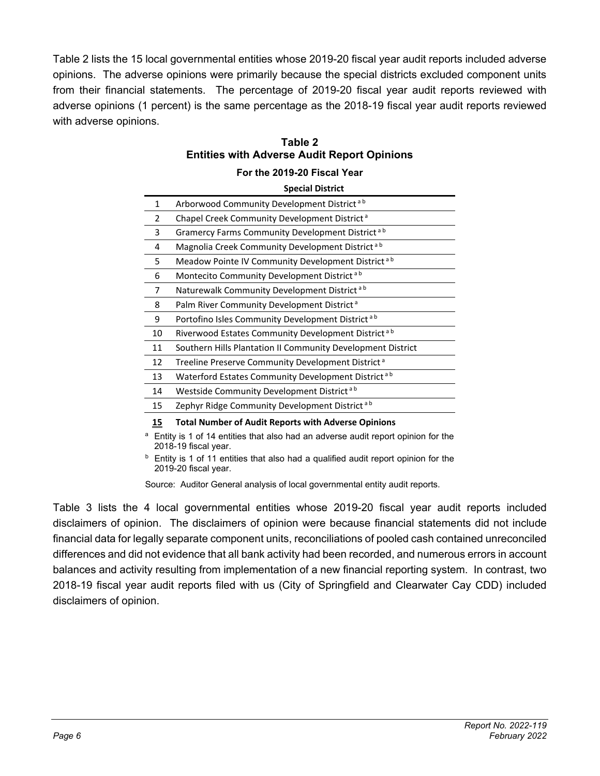Table 2 lists the 15 local governmental entities whose 2019-20 fiscal year audit reports included adverse opinions. The adverse opinions were primarily because the special districts excluded component units from their financial statements. The percentage of 2019-20 fiscal year audit reports reviewed with adverse opinions (1 percent) is the same percentage as the 2018-19 fiscal year audit reports reviewed with adverse opinions.

|            | For the 2019-20 Fiscal Year                                                                              |  |  |  |  |  |  |  |
|------------|----------------------------------------------------------------------------------------------------------|--|--|--|--|--|--|--|
|            | <b>Special District</b>                                                                                  |  |  |  |  |  |  |  |
| 1          | Arborwood Community Development District <sup>ab</sup>                                                   |  |  |  |  |  |  |  |
| 2          | Chapel Creek Community Development District <sup>a</sup>                                                 |  |  |  |  |  |  |  |
| 3          | Gramercy Farms Community Development District <sup>ab</sup>                                              |  |  |  |  |  |  |  |
| 4          | Magnolia Creek Community Development District <sup>ab</sup>                                              |  |  |  |  |  |  |  |
| 5          | Meadow Pointe IV Community Development District <sup>ab</sup>                                            |  |  |  |  |  |  |  |
| 6          | Montecito Community Development District <sup>ab</sup>                                                   |  |  |  |  |  |  |  |
| 7          | Naturewalk Community Development District <sup>ab</sup>                                                  |  |  |  |  |  |  |  |
| 8          | Palm River Community Development District <sup>a</sup>                                                   |  |  |  |  |  |  |  |
| 9          | Portofino Isles Community Development District <sup>ab</sup>                                             |  |  |  |  |  |  |  |
| 10         | Riverwood Estates Community Development District <sup>ab</sup>                                           |  |  |  |  |  |  |  |
| 11         | Southern Hills Plantation II Community Development District                                              |  |  |  |  |  |  |  |
| 12         | Treeline Preserve Community Development District <sup>a</sup>                                            |  |  |  |  |  |  |  |
| 13         | Waterford Estates Community Development District <sup>ab</sup>                                           |  |  |  |  |  |  |  |
| 14         | Westside Community Development District <sup>ab</sup>                                                    |  |  |  |  |  |  |  |
| 15         | Zephyr Ridge Community Development District <sup>ab</sup>                                                |  |  |  |  |  |  |  |
| <u> 15</u> | <b>Total Number of Audit Reports with Adverse Opinions</b>                                               |  |  |  |  |  |  |  |
| a          | Entity is 1 of 14 entities that also had an adverse audit report opinion for the<br>2018-19 fiscal vear. |  |  |  |  |  |  |  |

#### **Table 2 Entities with Adverse Audit Report Opinions**

2018-19 fiscal year.  $<sup>b</sup>$  Entity is 1 of 11 entities that also had a qualified audit report opinion for the</sup> 2019-20 fiscal year.

Source: Auditor General analysis of local governmental entity audit reports.

Table 3 lists the 4 local governmental entities whose 2019-20 fiscal year audit reports included disclaimers of opinion. The disclaimers of opinion were because financial statements did not include financial data for legally separate component units, reconciliations of pooled cash contained unreconciled differences and did not evidence that all bank activity had been recorded, and numerous errors in account balances and activity resulting from implementation of a new financial reporting system. In contrast, two 2018-19 fiscal year audit reports filed with us (City of Springfield and Clearwater Cay CDD) included disclaimers of opinion.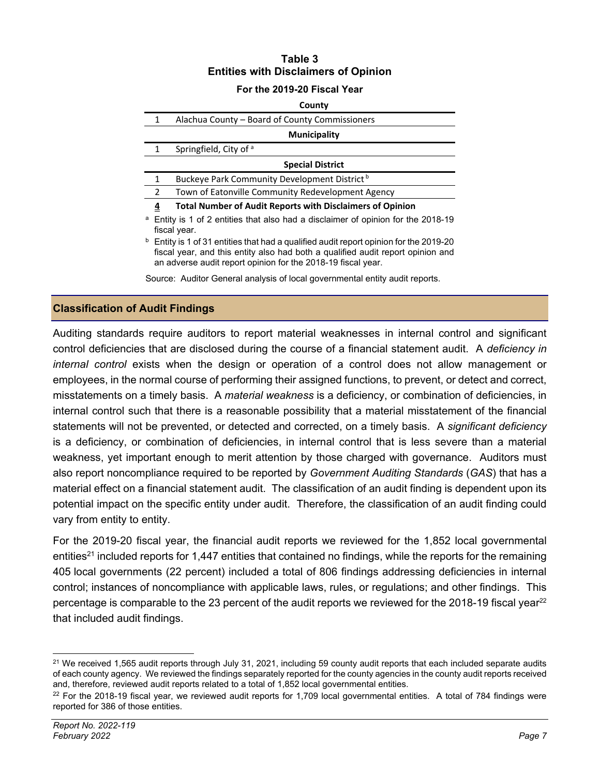#### **Table 3 Entities with Disclaimers of Opinion**

#### **For the 2019-20 Fiscal Year**

|   |                         | County                                                                                                                                                                                                                                               |
|---|-------------------------|------------------------------------------------------------------------------------------------------------------------------------------------------------------------------------------------------------------------------------------------------|
|   | 1                       | Alachua County – Board of County Commissioners                                                                                                                                                                                                       |
|   |                         | <b>Municipality</b>                                                                                                                                                                                                                                  |
|   | 1                       | Springfield, City of a                                                                                                                                                                                                                               |
|   |                         | <b>Special District</b>                                                                                                                                                                                                                              |
|   | 1                       | Buckeye Park Community Development District <sup>b</sup>                                                                                                                                                                                             |
|   | $\overline{2}$          | Town of Eatonville Community Redevelopment Agency                                                                                                                                                                                                    |
|   | $\overline{\mathbf{r}}$ | <b>Total Number of Audit Reports with Disclaimers of Opinion</b>                                                                                                                                                                                     |
| a | fiscal year.            | Entity is 1 of 2 entities that also had a disclaimer of opinion for the 2018-19                                                                                                                                                                      |
|   |                         | <sup>b</sup> Entity is 1 of 31 entities that had a qualified audit report opinion for the 2019-20<br>fiscal year, and this entity also had both a qualified audit report opinion and<br>an adverse audit report opinion for the 2018-19 fiscal year. |
|   |                         | Source: Auditor General analysis of local governmental entity audit reports.                                                                                                                                                                         |

#### **Classification of Audit Findings**

Auditing standards require auditors to report material weaknesses in internal control and significant control deficiencies that are disclosed during the course of a financial statement audit. A *deficiency in internal control* exists when the design or operation of a control does not allow management or employees, in the normal course of performing their assigned functions, to prevent, or detect and correct, misstatements on a timely basis. A *material weakness* is a deficiency, or combination of deficiencies, in internal control such that there is a reasonable possibility that a material misstatement of the financial statements will not be prevented, or detected and corrected, on a timely basis. A *significant deficiency*  is a deficiency, or combination of deficiencies, in internal control that is less severe than a material weakness, yet important enough to merit attention by those charged with governance. Auditors must also report noncompliance required to be reported by *Government Auditing Standards* (*GAS*) that has a material effect on a financial statement audit. The classification of an audit finding is dependent upon its potential impact on the specific entity under audit. Therefore, the classification of an audit finding could vary from entity to entity.

For the 2019-20 fiscal year, the financial audit reports we reviewed for the 1,852 local governmental entities<sup>21</sup> included reports for 1,447 entities that contained no findings, while the reports for the remaining 405 local governments (22 percent) included a total of 806 findings addressing deficiencies in internal control; instances of noncompliance with applicable laws, rules, or regulations; and other findings. This percentage is comparable to the 23 percent of the audit reports we reviewed for the 2018-19 fiscal year<sup>22</sup> that included audit findings.

<sup>&</sup>lt;sup>21</sup> We received 1,565 audit reports through July 31, 2021, including 59 county audit reports that each included separate audits of each county agency. We reviewed the findings separately reported for the county agencies in the county audit reports received and, therefore, reviewed audit reports related to a total of 1,852 local governmental entities.

 $22$  For the 2018-19 fiscal year, we reviewed audit reports for 1,709 local governmental entities. A total of 784 findings were reported for 386 of those entities.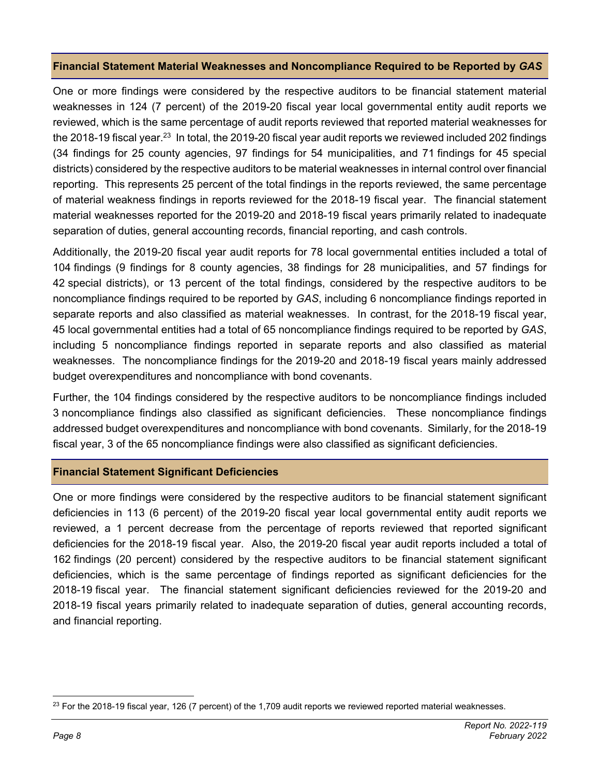#### **Financial Statement Material Weaknesses and Noncompliance Required to be Reported by** *GAS*

One or more findings were considered by the respective auditors to be financial statement material weaknesses in 124 (7 percent) of the 2019-20 fiscal year local governmental entity audit reports we reviewed, which is the same percentage of audit reports reviewed that reported material weaknesses for the 2018-19 fiscal year.<sup>23</sup> In total, the 2019-20 fiscal year audit reports we reviewed included 202 findings (34 findings for 25 county agencies, 97 findings for 54 municipalities, and 71 findings for 45 special districts) considered by the respective auditors to be material weaknesses in internal control over financial reporting. This represents 25 percent of the total findings in the reports reviewed, the same percentage of material weakness findings in reports reviewed for the 2018-19 fiscal year. The financial statement material weaknesses reported for the 2019-20 and 2018-19 fiscal years primarily related to inadequate separation of duties, general accounting records, financial reporting, and cash controls.

Additionally, the 2019-20 fiscal year audit reports for 78 local governmental entities included a total of 104 findings (9 findings for 8 county agencies, 38 findings for 28 municipalities, and 57 findings for 42 special districts), or 13 percent of the total findings, considered by the respective auditors to be noncompliance findings required to be reported by *GAS*, including 6 noncompliance findings reported in separate reports and also classified as material weaknesses. In contrast, for the 2018-19 fiscal year, 45 local governmental entities had a total of 65 noncompliance findings required to be reported by *GAS*, including 5 noncompliance findings reported in separate reports and also classified as material weaknesses. The noncompliance findings for the 2019-20 and 2018-19 fiscal years mainly addressed budget overexpenditures and noncompliance with bond covenants.

Further, the 104 findings considered by the respective auditors to be noncompliance findings included 3 noncompliance findings also classified as significant deficiencies. These noncompliance findings addressed budget overexpenditures and noncompliance with bond covenants. Similarly, for the 2018-19 fiscal year, 3 of the 65 noncompliance findings were also classified as significant deficiencies.

#### **Financial Statement Significant Deficiencies**

One or more findings were considered by the respective auditors to be financial statement significant deficiencies in 113 (6 percent) of the 2019-20 fiscal year local governmental entity audit reports we reviewed, a 1 percent decrease from the percentage of reports reviewed that reported significant deficiencies for the 2018-19 fiscal year. Also, the 2019-20 fiscal year audit reports included a total of 162 findings (20 percent) considered by the respective auditors to be financial statement significant deficiencies, which is the same percentage of findings reported as significant deficiencies for the 2018-19 fiscal year. The financial statement significant deficiencies reviewed for the 2019-20 and 2018-19 fiscal years primarily related to inadequate separation of duties, general accounting records, and financial reporting.

 $23$  For the 2018-19 fiscal year, 126 (7 percent) of the 1,709 audit reports we reviewed reported material weaknesses.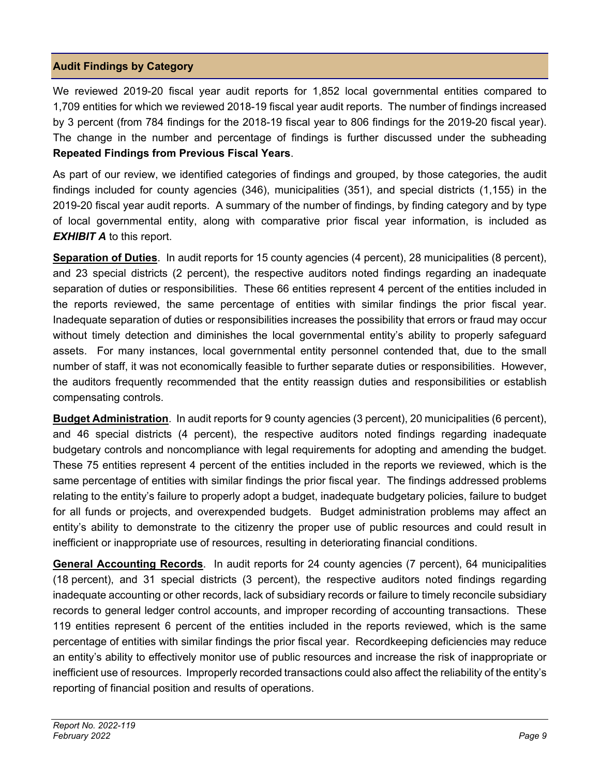#### **Audit Findings by Category**

We reviewed 2019-20 fiscal year audit reports for 1,852 local governmental entities compared to 1,709 entities for which we reviewed 2018-19 fiscal year audit reports. The number of findings increased by 3 percent (from 784 findings for the 2018-19 fiscal year to 806 findings for the 2019-20 fiscal year). The change in the number and percentage of findings is further discussed under the subheading **Repeated Findings from Previous Fiscal Years**.

As part of our review, we identified categories of findings and grouped, by those categories, the audit findings included for county agencies (346), municipalities (351), and special districts (1,155) in the 2019-20 fiscal year audit reports. A summary of the number of findings, by finding category and by type of local governmental entity, along with comparative prior fiscal year information, is included as *EXHIBIT A* to this report.

**Separation of Duties**. In audit reports for 15 county agencies (4 percent), 28 municipalities (8 percent), and 23 special districts (2 percent), the respective auditors noted findings regarding an inadequate separation of duties or responsibilities. These 66 entities represent 4 percent of the entities included in the reports reviewed, the same percentage of entities with similar findings the prior fiscal year. Inadequate separation of duties or responsibilities increases the possibility that errors or fraud may occur without timely detection and diminishes the local governmental entity's ability to properly safeguard assets. For many instances, local governmental entity personnel contended that, due to the small number of staff, it was not economically feasible to further separate duties or responsibilities. However, the auditors frequently recommended that the entity reassign duties and responsibilities or establish compensating controls.

**Budget Administration**. In audit reports for 9 county agencies (3 percent), 20 municipalities (6 percent), and 46 special districts (4 percent), the respective auditors noted findings regarding inadequate budgetary controls and noncompliance with legal requirements for adopting and amending the budget. These 75 entities represent 4 percent of the entities included in the reports we reviewed, which is the same percentage of entities with similar findings the prior fiscal year. The findings addressed problems relating to the entity's failure to properly adopt a budget, inadequate budgetary policies, failure to budget for all funds or projects, and overexpended budgets. Budget administration problems may affect an entity's ability to demonstrate to the citizenry the proper use of public resources and could result in inefficient or inappropriate use of resources, resulting in deteriorating financial conditions.

**General Accounting Records**. In audit reports for 24 county agencies (7 percent), 64 municipalities (18 percent), and 31 special districts (3 percent), the respective auditors noted findings regarding inadequate accounting or other records, lack of subsidiary records or failure to timely reconcile subsidiary records to general ledger control accounts, and improper recording of accounting transactions. These 119 entities represent 6 percent of the entities included in the reports reviewed, which is the same percentage of entities with similar findings the prior fiscal year. Recordkeeping deficiencies may reduce an entity's ability to effectively monitor use of public resources and increase the risk of inappropriate or inefficient use of resources. Improperly recorded transactions could also affect the reliability of the entity's reporting of financial position and results of operations.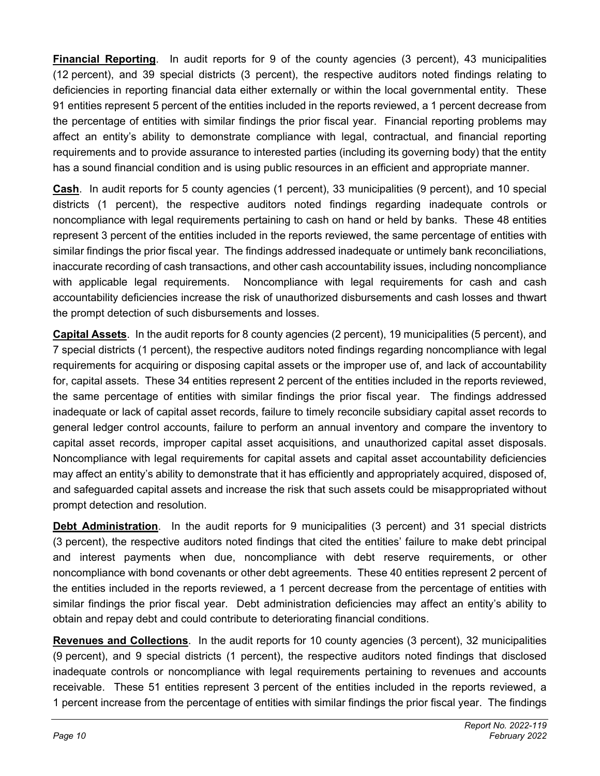**Financial Reporting**. In audit reports for 9 of the county agencies (3 percent), 43 municipalities (12 percent), and 39 special districts (3 percent), the respective auditors noted findings relating to deficiencies in reporting financial data either externally or within the local governmental entity. These 91 entities represent 5 percent of the entities included in the reports reviewed, a 1 percent decrease from the percentage of entities with similar findings the prior fiscal year. Financial reporting problems may affect an entity's ability to demonstrate compliance with legal, contractual, and financial reporting requirements and to provide assurance to interested parties (including its governing body) that the entity has a sound financial condition and is using public resources in an efficient and appropriate manner.

**Cash**. In audit reports for 5 county agencies (1 percent), 33 municipalities (9 percent), and 10 special districts (1 percent), the respective auditors noted findings regarding inadequate controls or noncompliance with legal requirements pertaining to cash on hand or held by banks. These 48 entities represent 3 percent of the entities included in the reports reviewed, the same percentage of entities with similar findings the prior fiscal year. The findings addressed inadequate or untimely bank reconciliations, inaccurate recording of cash transactions, and other cash accountability issues, including noncompliance with applicable legal requirements. Noncompliance with legal requirements for cash and cash accountability deficiencies increase the risk of unauthorized disbursements and cash losses and thwart the prompt detection of such disbursements and losses.

**Capital Assets**. In the audit reports for 8 county agencies (2 percent), 19 municipalities (5 percent), and 7 special districts (1 percent), the respective auditors noted findings regarding noncompliance with legal requirements for acquiring or disposing capital assets or the improper use of, and lack of accountability for, capital assets. These 34 entities represent 2 percent of the entities included in the reports reviewed, the same percentage of entities with similar findings the prior fiscal year. The findings addressed inadequate or lack of capital asset records, failure to timely reconcile subsidiary capital asset records to general ledger control accounts, failure to perform an annual inventory and compare the inventory to capital asset records, improper capital asset acquisitions, and unauthorized capital asset disposals. Noncompliance with legal requirements for capital assets and capital asset accountability deficiencies may affect an entity's ability to demonstrate that it has efficiently and appropriately acquired, disposed of, and safeguarded capital assets and increase the risk that such assets could be misappropriated without prompt detection and resolution.

**Debt Administration**. In the audit reports for 9 municipalities (3 percent) and 31 special districts (3 percent), the respective auditors noted findings that cited the entities' failure to make debt principal and interest payments when due, noncompliance with debt reserve requirements, or other noncompliance with bond covenants or other debt agreements. These 40 entities represent 2 percent of the entities included in the reports reviewed, a 1 percent decrease from the percentage of entities with similar findings the prior fiscal year. Debt administration deficiencies may affect an entity's ability to obtain and repay debt and could contribute to deteriorating financial conditions.

**Revenues and Collections**. In the audit reports for 10 county agencies (3 percent), 32 municipalities (9 percent), and 9 special districts (1 percent), the respective auditors noted findings that disclosed inadequate controls or noncompliance with legal requirements pertaining to revenues and accounts receivable. These 51 entities represent 3 percent of the entities included in the reports reviewed, a 1 percent increase from the percentage of entities with similar findings the prior fiscal year. The findings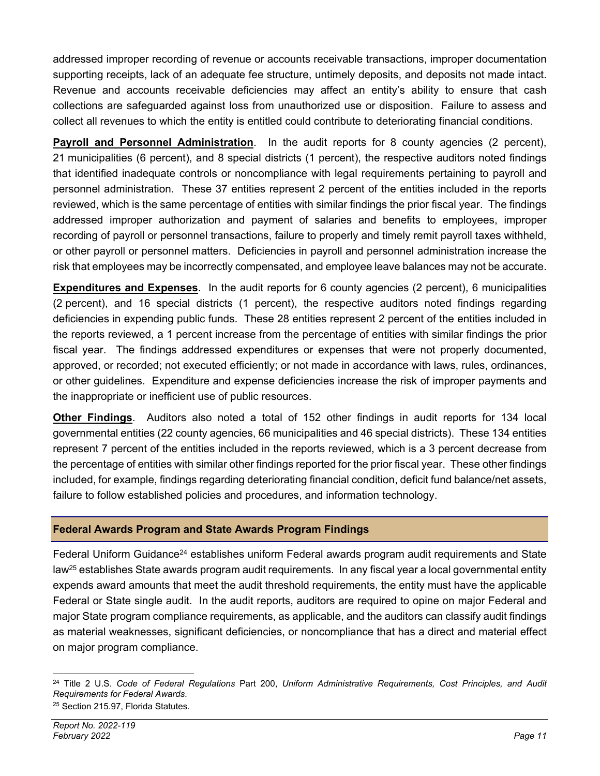addressed improper recording of revenue or accounts receivable transactions, improper documentation supporting receipts, lack of an adequate fee structure, untimely deposits, and deposits not made intact. Revenue and accounts receivable deficiencies may affect an entity's ability to ensure that cash collections are safeguarded against loss from unauthorized use or disposition. Failure to assess and collect all revenues to which the entity is entitled could contribute to deteriorating financial conditions.

**Payroll and Personnel Administration**. In the audit reports for 8 county agencies (2 percent), 21 municipalities (6 percent), and 8 special districts (1 percent), the respective auditors noted findings that identified inadequate controls or noncompliance with legal requirements pertaining to payroll and personnel administration. These 37 entities represent 2 percent of the entities included in the reports reviewed, which is the same percentage of entities with similar findings the prior fiscal year. The findings addressed improper authorization and payment of salaries and benefits to employees, improper recording of payroll or personnel transactions, failure to properly and timely remit payroll taxes withheld, or other payroll or personnel matters. Deficiencies in payroll and personnel administration increase the risk that employees may be incorrectly compensated, and employee leave balances may not be accurate.

**Expenditures and Expenses**. In the audit reports for 6 county agencies (2 percent), 6 municipalities (2 percent), and 16 special districts (1 percent), the respective auditors noted findings regarding deficiencies in expending public funds. These 28 entities represent 2 percent of the entities included in the reports reviewed, a 1 percent increase from the percentage of entities with similar findings the prior fiscal year. The findings addressed expenditures or expenses that were not properly documented, approved, or recorded; not executed efficiently; or not made in accordance with laws, rules, ordinances, or other guidelines. Expenditure and expense deficiencies increase the risk of improper payments and the inappropriate or inefficient use of public resources.

**Other Findings**. Auditors also noted a total of 152 other findings in audit reports for 134 local governmental entities (22 county agencies, 66 municipalities and 46 special districts). These 134 entities represent 7 percent of the entities included in the reports reviewed, which is a 3 percent decrease from the percentage of entities with similar other findings reported for the prior fiscal year. These other findings included, for example, findings regarding deteriorating financial condition, deficit fund balance/net assets, failure to follow established policies and procedures, and information technology.

#### **Federal Awards Program and State Awards Program Findings**

Federal Uniform Guidance<sup>24</sup> establishes uniform Federal awards program audit requirements and State law<sup>25</sup> establishes State awards program audit requirements. In any fiscal year a local governmental entity expends award amounts that meet the audit threshold requirements, the entity must have the applicable Federal or State single audit. In the audit reports, auditors are required to opine on major Federal and major State program compliance requirements, as applicable, and the auditors can classify audit findings as material weaknesses, significant deficiencies, or noncompliance that has a direct and material effect on major program compliance.

<sup>24</sup> Title 2 U.S. *Code of Federal Regulations* Part 200, *Uniform Administrative Requirements, Cost Principles, and Audit Requirements for Federal Awards*.

<sup>&</sup>lt;sup>25</sup> Section 215.97, Florida Statutes.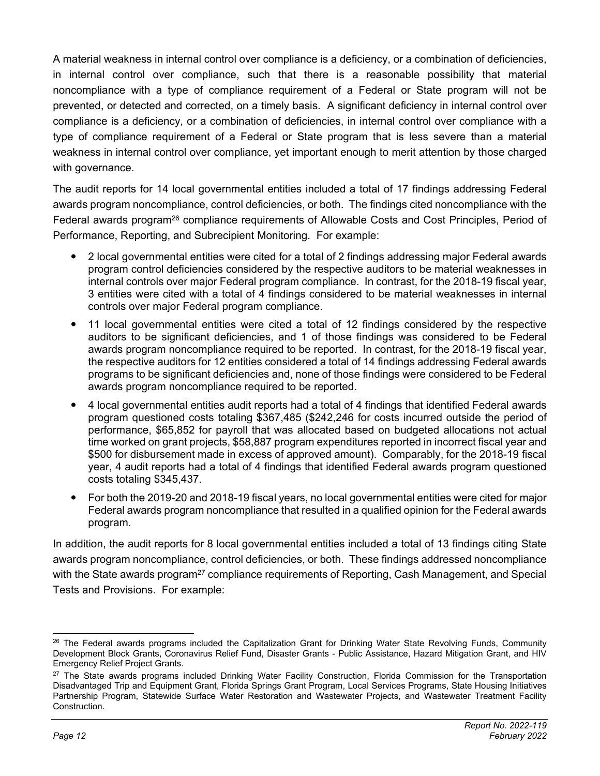A material weakness in internal control over compliance is a deficiency, or a combination of deficiencies, in internal control over compliance, such that there is a reasonable possibility that material noncompliance with a type of compliance requirement of a Federal or State program will not be prevented, or detected and corrected, on a timely basis. A significant deficiency in internal control over compliance is a deficiency, or a combination of deficiencies, in internal control over compliance with a type of compliance requirement of a Federal or State program that is less severe than a material weakness in internal control over compliance, yet important enough to merit attention by those charged with governance.

The audit reports for 14 local governmental entities included a total of 17 findings addressing Federal awards program noncompliance, control deficiencies, or both. The findings cited noncompliance with the Federal awards program<sup>26</sup> compliance requirements of Allowable Costs and Cost Principles, Period of Performance, Reporting, and Subrecipient Monitoring. For example:

- 2 local governmental entities were cited for a total of 2 findings addressing major Federal awards program control deficiencies considered by the respective auditors to be material weaknesses in internal controls over major Federal program compliance. In contrast, for the 2018-19 fiscal year, 3 entities were cited with a total of 4 findings considered to be material weaknesses in internal controls over major Federal program compliance.
- 11 local governmental entities were cited a total of 12 findings considered by the respective auditors to be significant deficiencies, and 1 of those findings was considered to be Federal awards program noncompliance required to be reported. In contrast, for the 2018-19 fiscal year, the respective auditors for 12 entities considered a total of 14 findings addressing Federal awards programs to be significant deficiencies and, none of those findings were considered to be Federal awards program noncompliance required to be reported.
- 4 local governmental entities audit reports had a total of 4 findings that identified Federal awards program questioned costs totaling \$367,485 (\$242,246 for costs incurred outside the period of performance, \$65,852 for payroll that was allocated based on budgeted allocations not actual time worked on grant projects, \$58,887 program expenditures reported in incorrect fiscal year and \$500 for disbursement made in excess of approved amount). Comparably, for the 2018-19 fiscal year, 4 audit reports had a total of 4 findings that identified Federal awards program questioned costs totaling \$345,437.
- For both the 2019-20 and 2018-19 fiscal years, no local governmental entities were cited for major Federal awards program noncompliance that resulted in a qualified opinion for the Federal awards program.

In addition, the audit reports for 8 local governmental entities included a total of 13 findings citing State awards program noncompliance, control deficiencies, or both. These findings addressed noncompliance with the State awards program<sup>27</sup> compliance requirements of Reporting, Cash Management, and Special Tests and Provisions. For example:

<sup>&</sup>lt;sup>26</sup> The Federal awards programs included the Capitalization Grant for Drinking Water State Revolving Funds, Community Development Block Grants, Coronavirus Relief Fund, Disaster Grants - Public Assistance, Hazard Mitigation Grant, and HIV Emergency Relief Project Grants.

<sup>&</sup>lt;sup>27</sup> The State awards programs included Drinking Water Facility Construction, Florida Commission for the Transportation Disadvantaged Trip and Equipment Grant, Florida Springs Grant Program, Local Services Programs, State Housing Initiatives Partnership Program, Statewide Surface Water Restoration and Wastewater Projects, and Wastewater Treatment Facility Construction.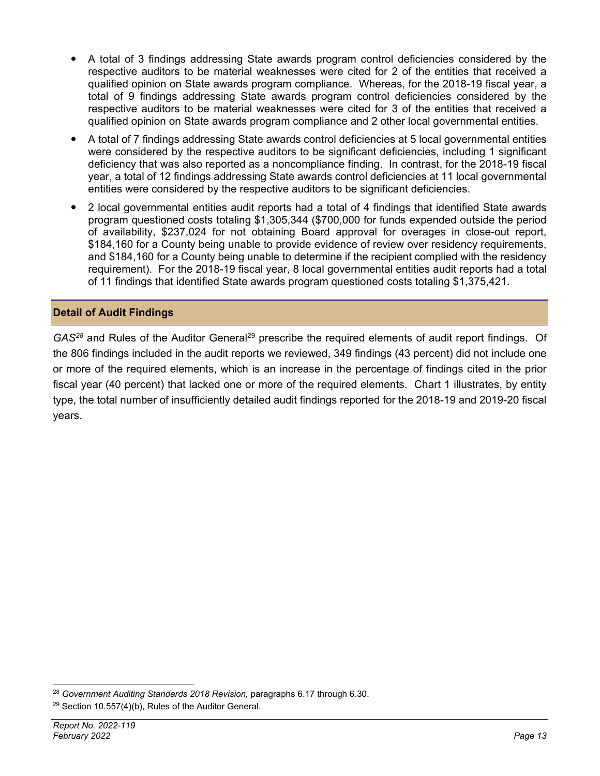- A total of 3 findings addressing State awards program control deficiencies considered by the respective auditors to be material weaknesses were cited for 2 of the entities that received a qualified opinion on State awards program compliance. Whereas, for the 2018-19 fiscal year, a total of 9 findings addressing State awards program control deficiencies considered by the respective auditors to be material weaknesses were cited for 3 of the entities that received a qualified opinion on State awards program compliance and 2 other local governmental entities.
- A total of 7 findings addressing State awards control deficiencies at 5 local governmental entities were considered by the respective auditors to be significant deficiencies, including 1 significant deficiency that was also reported as a noncompliance finding. In contrast, for the 2018-19 fiscal year, a total of 12 findings addressing State awards control deficiencies at 11 local governmental entities were considered by the respective auditors to be significant deficiencies.
- 2 local governmental entities audit reports had a total of 4 findings that identified State awards program questioned costs totaling \$1,305,344 (\$700,000 for funds expended outside the period of availability, \$237,024 for not obtaining Board approval for overages in close-out report, \$184,160 for a County being unable to provide evidence of review over residency requirements, and \$184,160 for a County being unable to determine if the recipient complied with the residency requirement). For the 2018-19 fiscal year, 8 local governmental entities audit reports had a total of 11 findings that identified State awards program questioned costs totaling \$1,375,421.

#### **Detail of Audit Findings**

GAS<sup>28</sup> and Rules of the Auditor General<sup>29</sup> prescribe the required elements of audit report findings. Of the 806 findings included in the audit reports we reviewed, 349 findings (43 percent) did not include one or more of the required elements, which is an increase in the percentage of findings cited in the prior fiscal year (40 percent) that lacked one or more of the required elements. Chart 1 illustrates, by entity type, the total number of insufficiently detailed audit findings reported for the 2018-19 and 2019-20 fiscal years.

<sup>28</sup> *Government Auditing Standards 2018 Revision,* paragraphs 6.17 through 6.30.

 $29$  Section 10.557(4)(b), Rules of the Auditor General.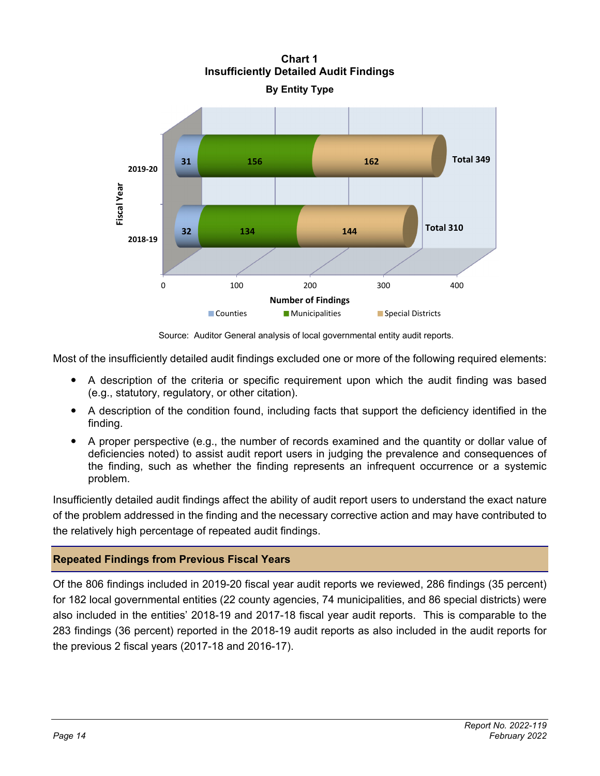

**Chart 1 Insufficiently Detailed Audit Findings** 

Source: Auditor General analysis of local governmental entity audit reports.

Most of the insufficiently detailed audit findings excluded one or more of the following required elements:

- A description of the criteria or specific requirement upon which the audit finding was based (e.g., statutory, regulatory, or other citation).
- A description of the condition found, including facts that support the deficiency identified in the finding.
- A proper perspective (e.g., the number of records examined and the quantity or dollar value of deficiencies noted) to assist audit report users in judging the prevalence and consequences of the finding, such as whether the finding represents an infrequent occurrence or a systemic problem.

Insufficiently detailed audit findings affect the ability of audit report users to understand the exact nature of the problem addressed in the finding and the necessary corrective action and may have contributed to the relatively high percentage of repeated audit findings.

#### **Repeated Findings from Previous Fiscal Years**

Of the 806 findings included in 2019-20 fiscal year audit reports we reviewed, 286 findings (35 percent) for 182 local governmental entities (22 county agencies, 74 municipalities, and 86 special districts) were also included in the entities' 2018-19 and 2017-18 fiscal year audit reports. This is comparable to the 283 findings (36 percent) reported in the 2018-19 audit reports as also included in the audit reports for the previous 2 fiscal years (2017-18 and 2016-17).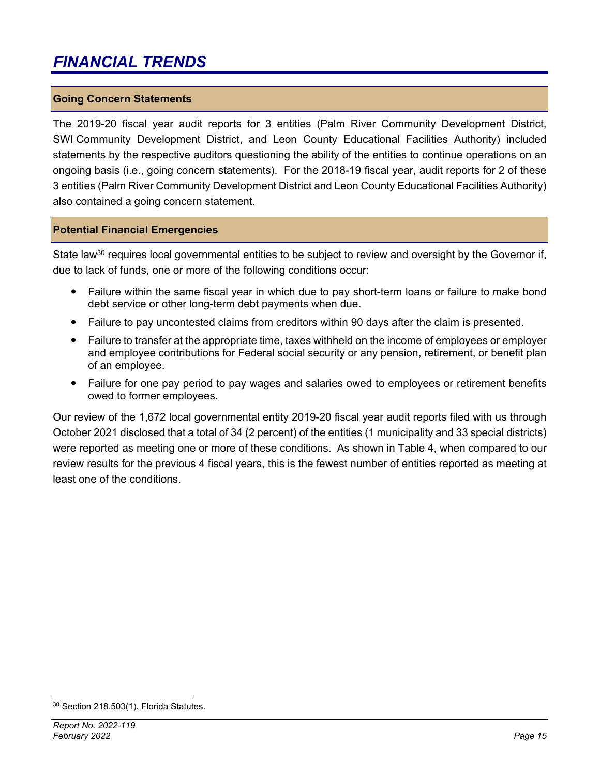### *FINANCIAL TRENDS*

#### **Going Concern Statements**

The 2019-20 fiscal year audit reports for 3 entities (Palm River Community Development District, SWI Community Development District, and Leon County Educational Facilities Authority) included statements by the respective auditors questioning the ability of the entities to continue operations on an ongoing basis (i.e., going concern statements). For the 2018-19 fiscal year, audit reports for 2 of these 3 entities (Palm River Community Development District and Leon County Educational Facilities Authority) also contained a going concern statement.

#### **Potential Financial Emergencies**

State law<sup>30</sup> requires local governmental entities to be subject to review and oversight by the Governor if, due to lack of funds, one or more of the following conditions occur:

- Failure within the same fiscal year in which due to pay short-term loans or failure to make bond debt service or other long-term debt payments when due.
- Failure to pay uncontested claims from creditors within 90 days after the claim is presented.
- Failure to transfer at the appropriate time, taxes withheld on the income of employees or employer and employee contributions for Federal social security or any pension, retirement, or benefit plan of an employee.
- Failure for one pay period to pay wages and salaries owed to employees or retirement benefits owed to former employees.

Our review of the 1,672 local governmental entity 2019-20 fiscal year audit reports filed with us through October 2021 disclosed that a total of 34 (2 percent) of the entities (1 municipality and 33 special districts) were reported as meeting one or more of these conditions. As shown in Table 4, when compared to our review results for the previous 4 fiscal years, this is the fewest number of entities reported as meeting at least one of the conditions.

<sup>30</sup> Section 218.503(1), Florida Statutes.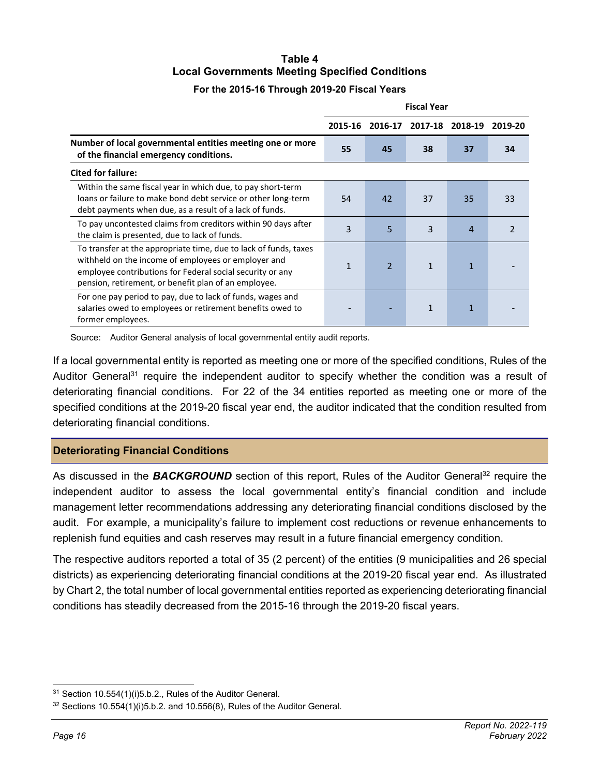### **Table 4 Local Governments Meeting Specified Conditions**

#### **For the 2015-16 Through 2019-20 Fiscal Years**

|                                                                                                                                                                                                                                              | <b>Fiscal Year</b> |                          |              |                |               |  |  |
|----------------------------------------------------------------------------------------------------------------------------------------------------------------------------------------------------------------------------------------------|--------------------|--------------------------|--------------|----------------|---------------|--|--|
|                                                                                                                                                                                                                                              | 2015-16            | 2016-17                  | 2017-18      | 2018-19        | 2019-20       |  |  |
| Number of local governmental entities meeting one or more<br>of the financial emergency conditions.                                                                                                                                          |                    | 45                       | 38           | 37             | 34            |  |  |
| <b>Cited for failure:</b>                                                                                                                                                                                                                    |                    |                          |              |                |               |  |  |
| Within the same fiscal year in which due, to pay short-term<br>loans or failure to make bond debt service or other long-term<br>debt payments when due, as a result of a lack of funds.                                                      | 54                 | 42                       | 37           | 35             | 33            |  |  |
| To pay uncontested claims from creditors within 90 days after<br>the claim is presented, due to lack of funds.                                                                                                                               | 3                  | 5                        | 3            | $\overline{4}$ | $\mathcal{P}$ |  |  |
| To transfer at the appropriate time, due to lack of funds, taxes<br>withheld on the income of employees or employer and<br>employee contributions for Federal social security or any<br>pension, retirement, or benefit plan of an employee. | 1                  | $\overline{\phantom{a}}$ | $\mathbf{1}$ | 1              |               |  |  |
| For one pay period to pay, due to lack of funds, wages and<br>salaries owed to employees or retirement benefits owed to<br>former employees.                                                                                                 |                    |                          | 1            | 1              |               |  |  |

Source: Auditor General analysis of local governmental entity audit reports.

If a local governmental entity is reported as meeting one or more of the specified conditions, Rules of the Auditor General<sup>31</sup> require the independent auditor to specify whether the condition was a result of deteriorating financial conditions. For 22 of the 34 entities reported as meeting one or more of the specified conditions at the 2019-20 fiscal year end, the auditor indicated that the condition resulted from deteriorating financial conditions.

#### **Deteriorating Financial Conditions**

As discussed in the **BACKGROUND** section of this report, Rules of the Auditor General<sup>32</sup> require the independent auditor to assess the local governmental entity's financial condition and include management letter recommendations addressing any deteriorating financial conditions disclosed by the audit. For example, a municipality's failure to implement cost reductions or revenue enhancements to replenish fund equities and cash reserves may result in a future financial emergency condition.

The respective auditors reported a total of 35 (2 percent) of the entities (9 municipalities and 26 special districts) as experiencing deteriorating financial conditions at the 2019-20 fiscal year end. As illustrated by Chart 2, the total number of local governmental entities reported as experiencing deteriorating financial conditions has steadily decreased from the 2015-16 through the 2019-20 fiscal years.

<sup>31</sup> Section 10.554(1)(i)5.b.2., Rules of the Auditor General.

 $32$  Sections 10.554(1)(i)5.b.2. and 10.556(8), Rules of the Auditor General.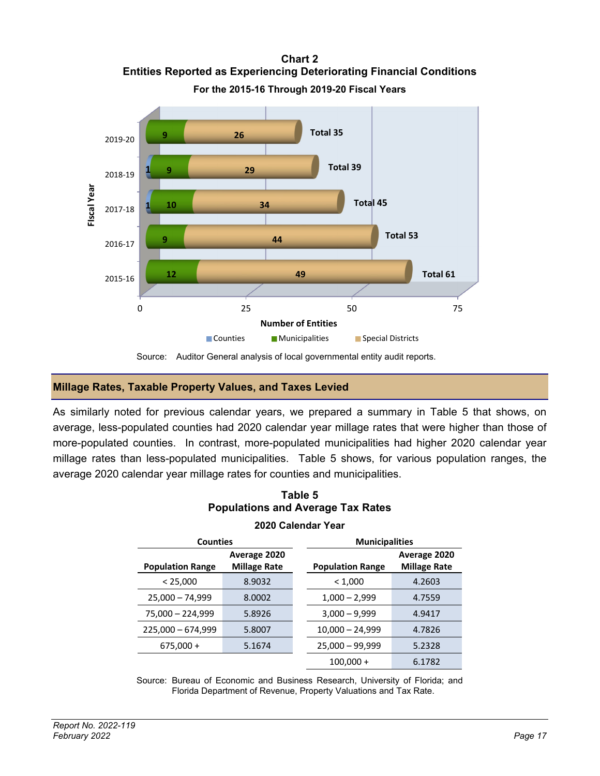**Chart 2 Entities Reported as Experiencing Deteriorating Financial Conditions For the 2015-16 Through 2019-20 Fiscal Years** 



Source: Auditor General analysis of local governmental entity audit reports.

#### **Millage Rates, Taxable Property Values, and Taxes Levied**

As similarly noted for previous calendar years, we prepared a summary in Table 5 that shows, on average, less-populated counties had 2020 calendar year millage rates that were higher than those of more-populated counties. In contrast, more-populated municipalities had higher 2020 calendar year millage rates than less-populated municipalities. Table 5 shows, for various population ranges, the average 2020 calendar year millage rates for counties and municipalities.

| Table 5 |                                          |  |  |  |  |  |  |  |  |
|---------|------------------------------------------|--|--|--|--|--|--|--|--|
|         | <b>Populations and Average Tax Rates</b> |  |  |  |  |  |  |  |  |

| <b>Counties</b>              |                     | <b>Municipalities</b>   |                     |  |  |
|------------------------------|---------------------|-------------------------|---------------------|--|--|
|                              | Average 2020        |                         | Average 2020        |  |  |
| <b>Population Range</b>      | <b>Millage Rate</b> | <b>Population Range</b> | <b>Millage Rate</b> |  |  |
| < 25,000                     | 8.9032              | < 1,000                 | 4.2603              |  |  |
| $25,000 - 74,999$            | 8.0002              | $1,000 - 2,999$         | 4.7559              |  |  |
| $75,000 - 224,999$<br>5.8926 |                     | $3,000 - 9,999$         | 4.9417              |  |  |
| $225,000 - 674,999$          | 5.8007              | $10,000 - 24,999$       | 4.7826              |  |  |
| $675,000 +$                  | 5.1674              | $25,000 - 99,999$       | 5.2328              |  |  |
|                              |                     | $100,000 +$             | 6.1782              |  |  |

#### **2020 Calendar Year**

Source: Bureau of Economic and Business Research, University of Florida; and Florida Department of Revenue, Property Valuations and Tax Rate.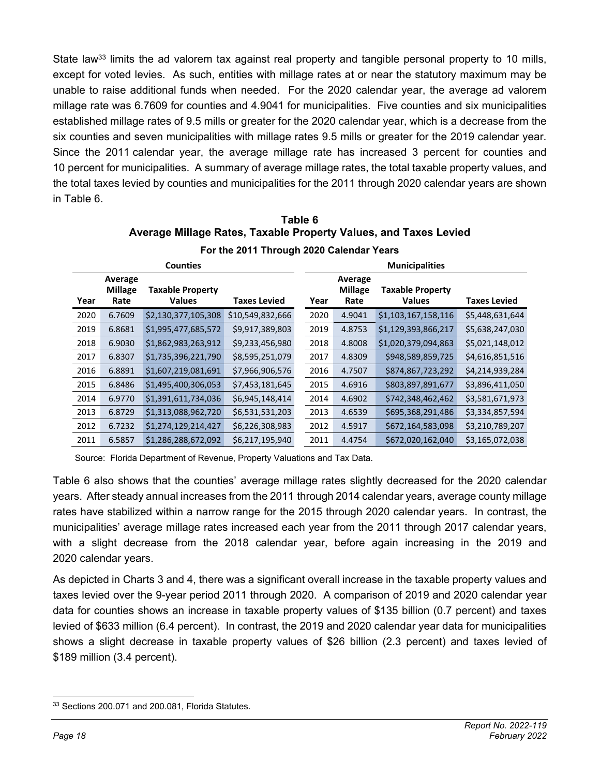State law<sup>33</sup> limits the ad valorem tax against real property and tangible personal property to 10 mills, except for voted levies. As such, entities with millage rates at or near the statutory maximum may be unable to raise additional funds when needed. For the 2020 calendar year, the average ad valorem millage rate was 6.7609 for counties and 4.9041 for municipalities. Five counties and six municipalities established millage rates of 9.5 mills or greater for the 2020 calendar year, which is a decrease from the six counties and seven municipalities with millage rates 9.5 mills or greater for the 2019 calendar year. Since the 2011 calendar year, the average millage rate has increased 3 percent for counties and 10 percent for municipalities. A summary of average millage rates, the total taxable property values, and the total taxes levied by counties and municipalities for the 2011 through 2020 calendar years are shown in Table 6.

| Table 6                                                          |
|------------------------------------------------------------------|
| Average Millage Rates, Taxable Property Values, and Taxes Levied |
| For the 2011 Through 2020 Calendar Years                         |

|                                                                                       |        | <b>Counties</b>     |                     | <b>Municipalities</b> |                                   |                                          |                     |  |  |  |
|---------------------------------------------------------------------------------------|--------|---------------------|---------------------|-----------------------|-----------------------------------|------------------------------------------|---------------------|--|--|--|
| Average<br><b>Millage</b><br><b>Taxable Property</b><br><b>Values</b><br>Year<br>Rate |        |                     | <b>Taxes Levied</b> | Year                  | Average<br><b>Millage</b><br>Rate | <b>Taxable Property</b><br><b>Values</b> | <b>Taxes Levied</b> |  |  |  |
| 2020                                                                                  | 6.7609 | \$2,130,377,105,308 | \$10,549,832,666    | 2020                  | 4.9041                            | \$1,103,167,158,116                      | \$5,448,631,644     |  |  |  |
| 2019                                                                                  | 6.8681 | \$1,995,477,685,572 | \$9,917,389,803     | 2019                  | 4.8753                            | \$1,129,393,866,217                      | \$5,638,247,030     |  |  |  |
| 2018                                                                                  | 6.9030 | \$1,862,983,263,912 | \$9,233,456,980     | 2018                  | 4.8008                            | \$1,020,379,094,863                      | \$5,021,148,012     |  |  |  |
| 2017                                                                                  | 6.8307 | \$1,735,396,221,790 | \$8,595,251,079     | 2017                  | 4.8309                            | \$948,589,859,725                        | \$4,616,851,516     |  |  |  |
| 2016                                                                                  | 6.8891 | \$1,607,219,081,691 | \$7,966,906,576     | 2016                  | 4.7507                            | \$874,867,723,292                        | \$4,214,939,284     |  |  |  |
| 2015                                                                                  | 6.8486 | \$1,495,400,306,053 | \$7,453,181,645     | 2015                  | 4.6916                            | \$803,897,891,677                        | \$3,896,411,050     |  |  |  |
| 2014                                                                                  | 6.9770 | \$1,391,611,734,036 | \$6,945,148,414     | 2014                  | 4.6902                            | \$742,348,462,462                        | \$3,581,671,973     |  |  |  |
| 2013                                                                                  | 6.8729 | \$1,313,088,962,720 | \$6,531,531,203     | 2013                  | 4.6539                            | \$695,368,291,486                        | \$3,334,857,594     |  |  |  |
| 2012                                                                                  | 6.7232 | \$1,274,129,214,427 | \$6,226,308,983     | 2012                  | 4.5917                            | \$672,164,583,098                        | \$3,210,789,207     |  |  |  |
| 2011                                                                                  | 6.5857 | \$1,286,288,672,092 | \$6,217,195,940     | 2011                  | 4.4754                            | \$672,020,162,040                        | \$3,165,072,038     |  |  |  |

Source: Florida Department of Revenue, Property Valuations and Tax Data.

Table 6 also shows that the counties' average millage rates slightly decreased for the 2020 calendar years. After steady annual increases from the 2011 through 2014 calendar years, average county millage rates have stabilized within a narrow range for the 2015 through 2020 calendar years. In contrast, the municipalities' average millage rates increased each year from the 2011 through 2017 calendar years, with a slight decrease from the 2018 calendar year, before again increasing in the 2019 and 2020 calendar years.

As depicted in Charts 3 and 4, there was a significant overall increase in the taxable property values and taxes levied over the 9-year period 2011 through 2020. A comparison of 2019 and 2020 calendar year data for counties shows an increase in taxable property values of \$135 billion (0.7 percent) and taxes levied of \$633 million (6.4 percent). In contrast, the 2019 and 2020 calendar year data for municipalities shows a slight decrease in taxable property values of \$26 billion (2.3 percent) and taxes levied of \$189 million (3.4 percent).

<sup>33</sup> Sections 200.071 and 200.081, Florida Statutes.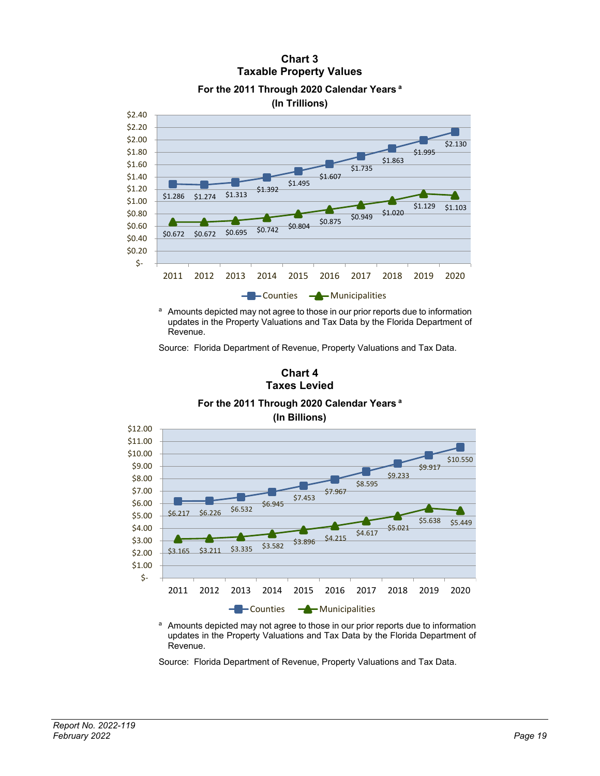### **Chart 3 Taxable Property Values**



**For the 2011 Through 2020 Calendar Years a**

<sup>a</sup> Amounts depicted may not agree to those in our prior reports due to information updates in the Property Valuations and Tax Data by the Florida Department of Revenue.

Source: Florida Department of Revenue, Property Valuations and Tax Data.



**Chart 4** 

a Amounts depicted may not agree to those in our prior reports due to information updates in the Property Valuations and Tax Data by the Florida Department of Revenue.

Source: Florida Department of Revenue, Property Valuations and Tax Data.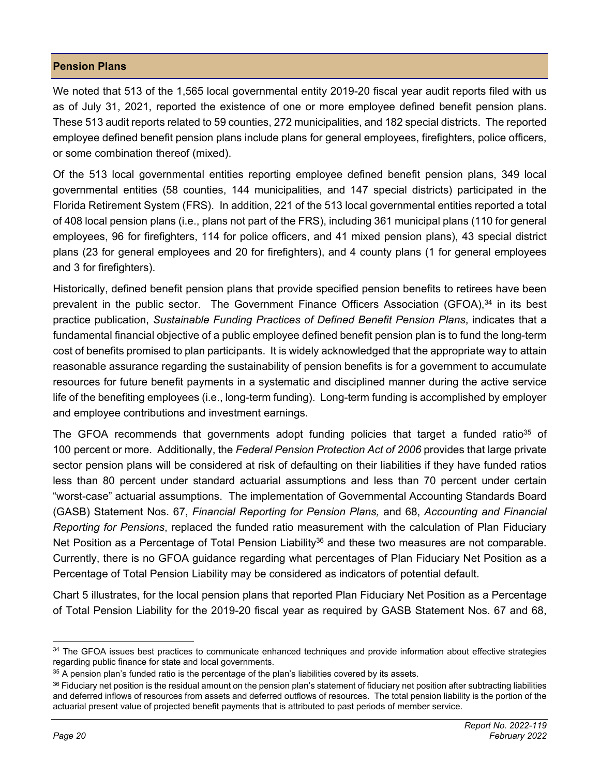#### **Pension Plans**

We noted that 513 of the 1,565 local governmental entity 2019-20 fiscal year audit reports filed with us as of July 31, 2021, reported the existence of one or more employee defined benefit pension plans. These 513 audit reports related to 59 counties, 272 municipalities, and 182 special districts. The reported employee defined benefit pension plans include plans for general employees, firefighters, police officers, or some combination thereof (mixed).

Of the 513 local governmental entities reporting employee defined benefit pension plans, 349 local governmental entities (58 counties, 144 municipalities, and 147 special districts) participated in the Florida Retirement System (FRS). In addition, 221 of the 513 local governmental entities reported a total of 408 local pension plans (i.e., plans not part of the FRS), including 361 municipal plans (110 for general employees, 96 for firefighters, 114 for police officers, and 41 mixed pension plans), 43 special district plans (23 for general employees and 20 for firefighters), and 4 county plans (1 for general employees and 3 for firefighters).

Historically, defined benefit pension plans that provide specified pension benefits to retirees have been prevalent in the public sector. The Government Finance Officers Association (GFOA),<sup>34</sup> in its best practice publication, *Sustainable Funding Practices of Defined Benefit Pension Plans*, indicates that a fundamental financial objective of a public employee defined benefit pension plan is to fund the long-term cost of benefits promised to plan participants. It is widely acknowledged that the appropriate way to attain reasonable assurance regarding the sustainability of pension benefits is for a government to accumulate resources for future benefit payments in a systematic and disciplined manner during the active service life of the benefiting employees (i.e., long-term funding). Long-term funding is accomplished by employer and employee contributions and investment earnings.

The GFOA recommends that governments adopt funding policies that target a funded ratio<sup>35</sup> of 100 percent or more. Additionally, the *Federal Pension Protection Act of 2006* provides that large private sector pension plans will be considered at risk of defaulting on their liabilities if they have funded ratios less than 80 percent under standard actuarial assumptions and less than 70 percent under certain "worst-case" actuarial assumptions. The implementation of Governmental Accounting Standards Board (GASB) Statement Nos. 67, *Financial Reporting for Pension Plans,* and 68, *Accounting and Financial Reporting for Pensions*, replaced the funded ratio measurement with the calculation of Plan Fiduciary Net Position as a Percentage of Total Pension Liability<sup>36</sup> and these two measures are not comparable. Currently, there is no GFOA guidance regarding what percentages of Plan Fiduciary Net Position as a Percentage of Total Pension Liability may be considered as indicators of potential default.

Chart 5 illustrates, for the local pension plans that reported Plan Fiduciary Net Position as a Percentage of Total Pension Liability for the 2019-20 fiscal year as required by GASB Statement Nos. 67 and 68,

<sup>34</sup> The GFOA issues best practices to communicate enhanced techniques and provide information about effective strategies regarding public finance for state and local governments.

<sup>&</sup>lt;sup>35</sup> A pension plan's funded ratio is the percentage of the plan's liabilities covered by its assets.

<sup>36</sup> Fiduciary net position is the residual amount on the pension plan's statement of fiduciary net position after subtracting liabilities and deferred inflows of resources from assets and deferred outflows of resources. The total pension liability is the portion of the actuarial present value of projected benefit payments that is attributed to past periods of member service.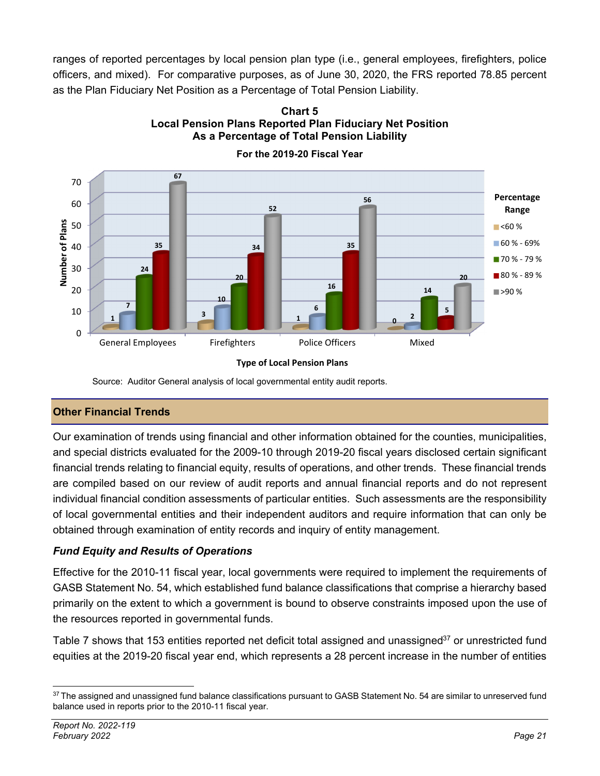ranges of reported percentages by local pension plan type (i.e., general employees, firefighters, police officers, and mixed). For comparative purposes, as of June 30, 2020, the FRS reported 78.85 percent as the Plan Fiduciary Net Position as a Percentage of Total Pension Liability.

> **Chart 5 Local Pension Plans Reported Plan Fiduciary Net Position**



**As a Percentage of Total Pension Liability For the 2019-20 Fiscal Year** 

Source: Auditor General analysis of local governmental entity audit reports.

#### **Other Financial Trends**

Our examination of trends using financial and other information obtained for the counties, municipalities, and special districts evaluated for the 2009-10 through 2019-20 fiscal years disclosed certain significant financial trends relating to financial equity, results of operations, and other trends. These financial trends are compiled based on our review of audit reports and annual financial reports and do not represent individual financial condition assessments of particular entities. Such assessments are the responsibility of local governmental entities and their independent auditors and require information that can only be obtained through examination of entity records and inquiry of entity management.

#### *Fund Equity and Results of Operations*

Effective for the 2010-11 fiscal year, local governments were required to implement the requirements of GASB Statement No. 54, which established fund balance classifications that comprise a hierarchy based primarily on the extent to which a government is bound to observe constraints imposed upon the use of the resources reported in governmental funds.

Table 7 shows that 153 entities reported net deficit total assigned and unassigned<sup>37</sup> or unrestricted fund equities at the 2019-20 fiscal year end, which represents a 28 percent increase in the number of entities

<sup>37</sup> The assigned and unassigned fund balance classifications pursuant to GASB Statement No. 54 are similar to unreserved fund balance used in reports prior to the 2010-11 fiscal year.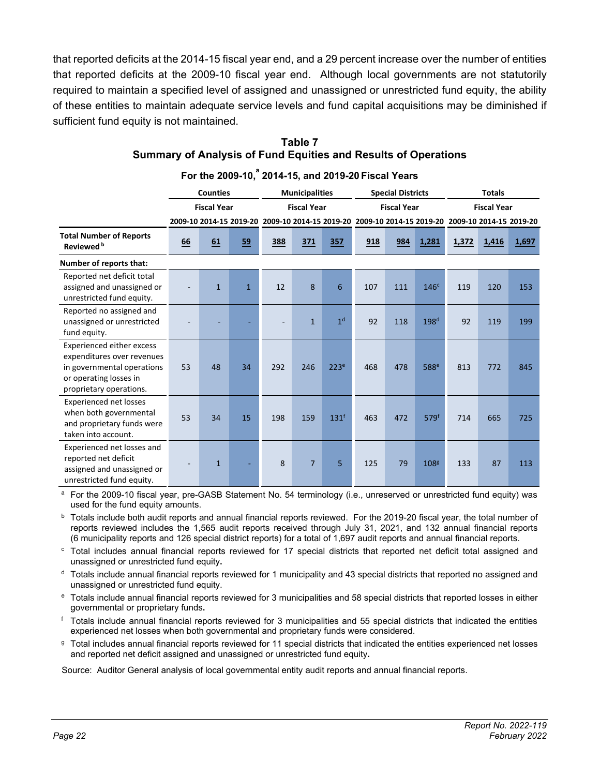that reported deficits at the 2014-15 fiscal year end, and a 29 percent increase over the number of entities that reported deficits at the 2009-10 fiscal year end. Although local governments are not statutorily required to maintain a specified level of assigned and unassigned or unrestricted fund equity, the ability of these entities to maintain adequate service levels and fund capital acquisitions may be diminished if sufficient fund equity is not maintained.

|                                                                                                                                                   | <b>Counties</b><br><b>Fiscal Year</b> |              |              |                                                                                                 | <b>Municipalities</b><br><b>Fiscal Year</b> |                  |     | <b>Special Districts</b> |                  | <b>Totals</b> |                    |       |  |
|---------------------------------------------------------------------------------------------------------------------------------------------------|---------------------------------------|--------------|--------------|-------------------------------------------------------------------------------------------------|---------------------------------------------|------------------|-----|--------------------------|------------------|---------------|--------------------|-------|--|
|                                                                                                                                                   |                                       |              |              |                                                                                                 |                                             |                  |     | <b>Fiscal Year</b>       |                  |               | <b>Fiscal Year</b> |       |  |
|                                                                                                                                                   |                                       |              |              | 2009-10 2014-15 2019-20 2009-10 2014-15 2019-20 2009-10 2014-15 2019-20 2009-10 2014-15 2019-20 |                                             |                  |     |                          |                  |               |                    |       |  |
| <b>Total Number of Reports</b><br>Reviewed <sup>b</sup>                                                                                           | 66                                    | 61           | 59           | 388                                                                                             | 371                                         | 357              | 918 | 984                      | 1,281            | 1,372         | 1,416              | 1,697 |  |
| Number of reports that:                                                                                                                           |                                       |              |              |                                                                                                 |                                             |                  |     |                          |                  |               |                    |       |  |
| Reported net deficit total<br>assigned and unassigned or<br>unrestricted fund equity.                                                             |                                       | $\mathbf{1}$ | $\mathbf{1}$ | 12                                                                                              | 8                                           | 6                | 107 | 111                      | 146 <sup>c</sup> | 119           | 120                | 153   |  |
| Reported no assigned and<br>unassigned or unrestricted<br>fund equity.                                                                            |                                       |              |              |                                                                                                 | $\mathbf{1}$                                | 1 <sup>d</sup>   | 92  | 118                      | 198 <sup>d</sup> | 92            | 119                | 199   |  |
| <b>Experienced either excess</b><br>expenditures over revenues<br>in governmental operations<br>or operating losses in<br>proprietary operations. | 53                                    | 48           | 34           | 292                                                                                             | 246                                         | 223 <sup>e</sup> | 468 | 478                      | 588 <sup>e</sup> | 813           | 772                | 845   |  |
| <b>Experienced net losses</b><br>when both governmental<br>and proprietary funds were<br>taken into account.                                      | 53                                    | 34           | 15           | 198                                                                                             | 159                                         | 131 <sup>f</sup> | 463 | 472                      | 579 <sup>f</sup> | 714           | 665                | 725   |  |
| Experienced net losses and<br>reported net deficit<br>assigned and unassigned or<br>unrestricted fund equity.                                     |                                       | 1            |              | 8                                                                                               | $\overline{7}$                              | 5                | 125 | 79                       | 108 <sup>g</sup> | 133           | 87                 | 113   |  |

#### **Table 7 Summary of Analysis of Fund Equities and Results of Operations**

**For the 2009-10,<sup>a</sup> 2014-15, and 2019-20 Fiscal Years** 

a For the 2009-10 fiscal year, pre-GASB Statement No. 54 terminology (i.e., unreserved or unrestricted fund equity) was used for the fund equity amounts.

<sup>b</sup> Totals include both audit reports and annual financial reports reviewed. For the 2019-20 fiscal year, the total number of reports reviewed includes the 1,565 audit reports received through July 31, 2021, and 132 annual financial reports (6 municipality reports and 126 special district reports) for a total of 1,697 audit reports and annual financial reports.

<sup>c</sup> Total includes annual financial reports reviewed for 17 special districts that reported net deficit total assigned and unassigned or unrestricted fund equity**.** 

<sup>d</sup> Totals include annual financial reports reviewed for 1 municipality and 43 special districts that reported no assigned and unassigned or unrestricted fund equity.

<sup>e</sup> Totals include annual financial reports reviewed for 3 municipalities and 58 special districts that reported losses in either governmental or proprietary funds**.** 

f Totals include annual financial reports reviewed for 3 municipalities and 55 special districts that indicated the entities experienced net losses when both governmental and proprietary funds were considered.

g Total includes annual financial reports reviewed for 11 special districts that indicated the entities experienced net losses and reported net deficit assigned and unassigned or unrestricted fund equity**.** 

Source: Auditor General analysis of local governmental entity audit reports and annual financial reports.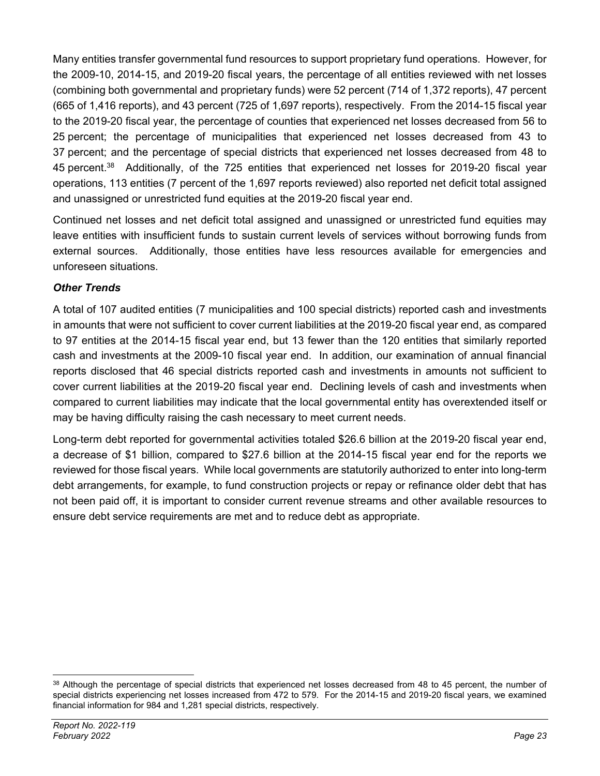Many entities transfer governmental fund resources to support proprietary fund operations. However, for the 2009-10, 2014-15, and 2019-20 fiscal years, the percentage of all entities reviewed with net losses (combining both governmental and proprietary funds) were 52 percent (714 of 1,372 reports), 47 percent (665 of 1,416 reports), and 43 percent (725 of 1,697 reports), respectively. From the 2014-15 fiscal year to the 2019-20 fiscal year, the percentage of counties that experienced net losses decreased from 56 to 25 percent; the percentage of municipalities that experienced net losses decreased from 43 to 37 percent; and the percentage of special districts that experienced net losses decreased from 48 to 45 percent.38 Additionally, of the 725 entities that experienced net losses for 2019-20 fiscal year operations, 113 entities (7 percent of the 1,697 reports reviewed) also reported net deficit total assigned and unassigned or unrestricted fund equities at the 2019-20 fiscal year end.

Continued net losses and net deficit total assigned and unassigned or unrestricted fund equities may leave entities with insufficient funds to sustain current levels of services without borrowing funds from external sources. Additionally, those entities have less resources available for emergencies and unforeseen situations.

#### *Other Trends*

A total of 107 audited entities (7 municipalities and 100 special districts) reported cash and investments in amounts that were not sufficient to cover current liabilities at the 2019-20 fiscal year end, as compared to 97 entities at the 2014-15 fiscal year end, but 13 fewer than the 120 entities that similarly reported cash and investments at the 2009-10 fiscal year end. In addition, our examination of annual financial reports disclosed that 46 special districts reported cash and investments in amounts not sufficient to cover current liabilities at the 2019-20 fiscal year end. Declining levels of cash and investments when compared to current liabilities may indicate that the local governmental entity has overextended itself or may be having difficulty raising the cash necessary to meet current needs.

Long-term debt reported for governmental activities totaled \$26.6 billion at the 2019-20 fiscal year end, a decrease of \$1 billion, compared to \$27.6 billion at the 2014-15 fiscal year end for the reports we reviewed for those fiscal years. While local governments are statutorily authorized to enter into long-term debt arrangements, for example, to fund construction projects or repay or refinance older debt that has not been paid off, it is important to consider current revenue streams and other available resources to ensure debt service requirements are met and to reduce debt as appropriate.

<sup>38</sup> Although the percentage of special districts that experienced net losses decreased from 48 to 45 percent, the number of special districts experiencing net losses increased from 472 to 579. For the 2014-15 and 2019-20 fiscal years, we examined financial information for 984 and 1,281 special districts, respectively.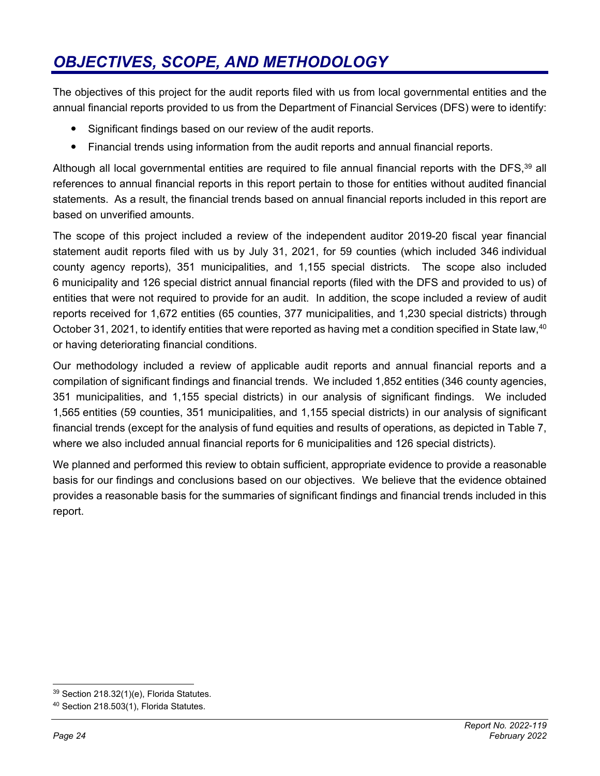# *OBJECTIVES, SCOPE, AND METHODOLOGY*

The objectives of this project for the audit reports filed with us from local governmental entities and the annual financial reports provided to us from the Department of Financial Services (DFS) were to identify:

- Significant findings based on our review of the audit reports.
- Financial trends using information from the audit reports and annual financial reports.

Although all local governmental entities are required to file annual financial reports with the DFS.<sup>39</sup> all references to annual financial reports in this report pertain to those for entities without audited financial statements. As a result, the financial trends based on annual financial reports included in this report are based on unverified amounts.

The scope of this project included a review of the independent auditor 2019-20 fiscal year financial statement audit reports filed with us by July 31, 2021, for 59 counties (which included 346 individual county agency reports), 351 municipalities, and 1,155 special districts. The scope also included 6 municipality and 126 special district annual financial reports (filed with the DFS and provided to us) of entities that were not required to provide for an audit. In addition, the scope included a review of audit reports received for 1,672 entities (65 counties, 377 municipalities, and 1,230 special districts) through October 31, 2021, to identify entities that were reported as having met a condition specified in State law,40 or having deteriorating financial conditions.

Our methodology included a review of applicable audit reports and annual financial reports and a compilation of significant findings and financial trends. We included 1,852 entities (346 county agencies, 351 municipalities, and 1,155 special districts) in our analysis of significant findings. We included 1,565 entities (59 counties, 351 municipalities, and 1,155 special districts) in our analysis of significant financial trends (except for the analysis of fund equities and results of operations, as depicted in Table 7, where we also included annual financial reports for 6 municipalities and 126 special districts).

We planned and performed this review to obtain sufficient, appropriate evidence to provide a reasonable basis for our findings and conclusions based on our objectives. We believe that the evidence obtained provides a reasonable basis for the summaries of significant findings and financial trends included in this report.

<sup>39</sup> Section 218.32(1)(e), Florida Statutes.

<sup>40</sup> Section 218.503(1), Florida Statutes.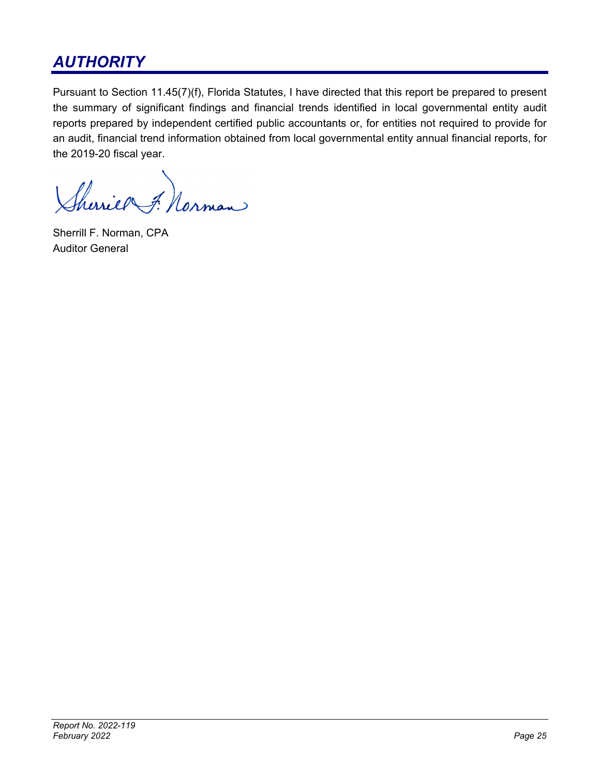## *AUTHORITY*

Pursuant to Section 11.45(7)(f), Florida Statutes, I have directed that this report be prepared to present the summary of significant findings and financial trends identified in local governmental entity audit reports prepared by independent certified public accountants or, for entities not required to provide for an audit, financial trend information obtained from local governmental entity annual financial reports, for the 2019-20 fiscal year.

Sherries F. Norman

Sherrill F. Norman, CPA Auditor General